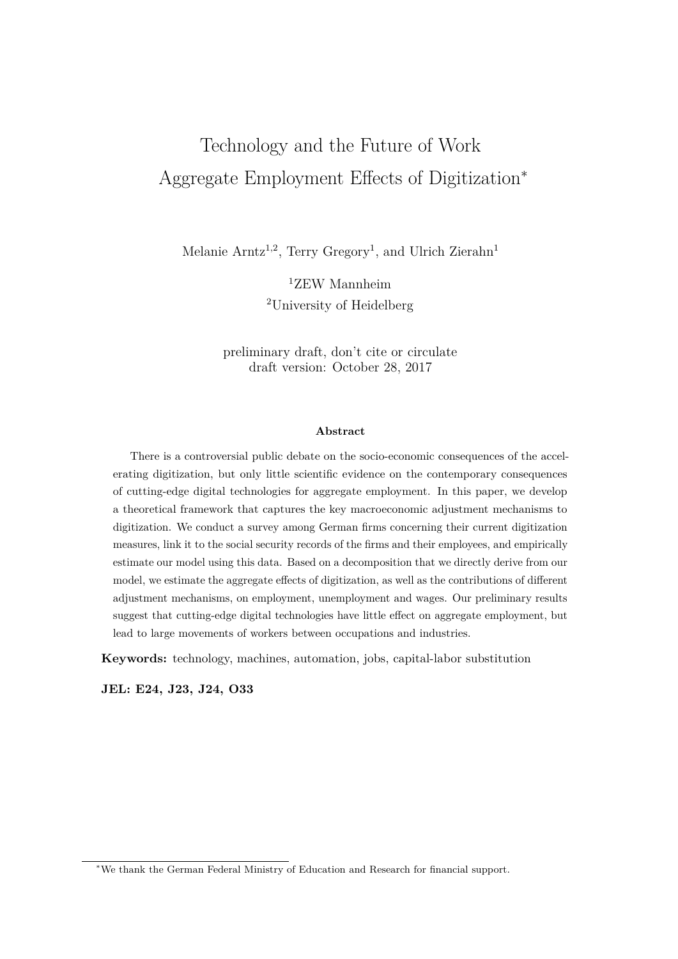# Technology and the Future of Work Aggregate Employment Effects of Digitization<sup>∗</sup>

Melanie Arntz<sup>1,2</sup>, Terry Gregory<sup>1</sup>, and Ulrich Zierahn<sup>1</sup>

<sup>1</sup>ZEW Mannheim <sup>2</sup>University of Heidelberg

preliminary draft, don't cite or circulate draft version: October 28, 2017

#### **Abstract**

There is a controversial public debate on the socio-economic consequences of the accelerating digitization, but only little scientific evidence on the contemporary consequences of cutting-edge digital technologies for aggregate employment. In this paper, we develop a theoretical framework that captures the key macroeconomic adjustment mechanisms to digitization. We conduct a survey among German firms concerning their current digitization measures, link it to the social security records of the firms and their employees, and empirically estimate our model using this data. Based on a decomposition that we directly derive from our model, we estimate the aggregate effects of digitization, as well as the contributions of different adjustment mechanisms, on employment, unemployment and wages. Our preliminary results suggest that cutting-edge digital technologies have little effect on aggregate employment, but lead to large movements of workers between occupations and industries.

**Keywords:** technology, machines, automation, jobs, capital-labor substitution

**JEL: E24, J23, J24, O33**

<sup>∗</sup>We thank the German Federal Ministry of Education and Research for financial support.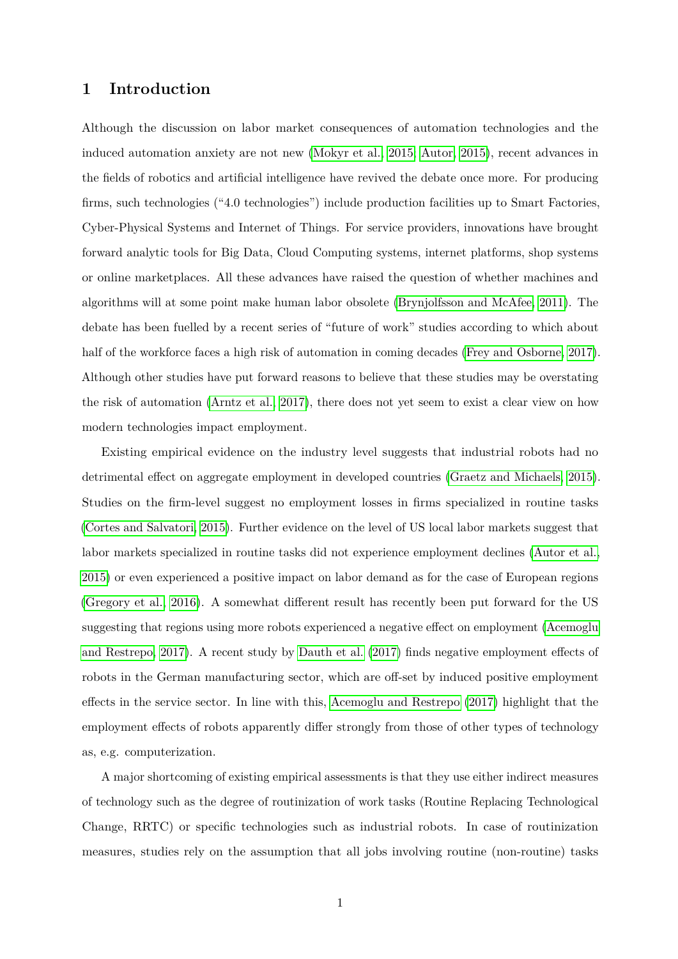# **1 Introduction**

Although the discussion on labor market consequences of automation technologies and the induced automation anxiety are not new [\(Mokyr et al., 2015;](#page-32-0) [Autor, 2015\)](#page-31-0), recent advances in the fields of robotics and artificial intelligence have revived the debate once more. For producing firms, such technologies ("4.0 technologies") include production facilities up to Smart Factories, Cyber-Physical Systems and Internet of Things. For service providers, innovations have brought forward analytic tools for Big Data, Cloud Computing systems, internet platforms, shop systems or online marketplaces. All these advances have raised the question of whether machines and algorithms will at some point make human labor obsolete [\(Brynjolfsson and McAfee, 2011\)](#page-31-1). The debate has been fuelled by a recent series of "future of work" studies according to which about half of the workforce faces a high risk of automation in coming decades [\(Frey and Osborne, 2017\)](#page-31-2). Although other studies have put forward reasons to believe that these studies may be overstating the risk of automation [\(Arntz et al., 2017\)](#page-31-3), there does not yet seem to exist a clear view on how modern technologies impact employment.

Existing empirical evidence on the industry level suggests that industrial robots had no detrimental effect on aggregate employment in developed countries [\(Graetz and Michaels, 2015\)](#page-32-1). Studies on the firm-level suggest no employment losses in firms specialized in routine tasks [\(Cortes and Salvatori, 2015\)](#page-31-4). Further evidence on the level of US local labor markets suggest that labor markets specialized in routine tasks did not experience employment declines [\(Autor et al.,](#page-31-5) [2015\)](#page-31-5) or even experienced a positive impact on labor demand as for the case of European regions [\(Gregory et al., 2016\)](#page-32-2). A somewhat different result has recently been put forward for the US suggesting that regions using more robots experienced a negative effect on employment [\(Acemoglu](#page-31-6) [and Restrepo, 2017\)](#page-31-6). A recent study by [Dauth et al.](#page-31-7) [\(2017\)](#page-31-7) finds negative employment effects of robots in the German manufacturing sector, which are off-set by induced positive employment effects in the service sector. In line with this, [Acemoglu and Restrepo](#page-31-6) [\(2017\)](#page-31-6) highlight that the employment effects of robots apparently differ strongly from those of other types of technology as, e.g. computerization.

A major shortcoming of existing empirical assessments is that they use either indirect measures of technology such as the degree of routinization of work tasks (Routine Replacing Technological Change, RRTC) or specific technologies such as industrial robots. In case of routinization measures, studies rely on the assumption that all jobs involving routine (non-routine) tasks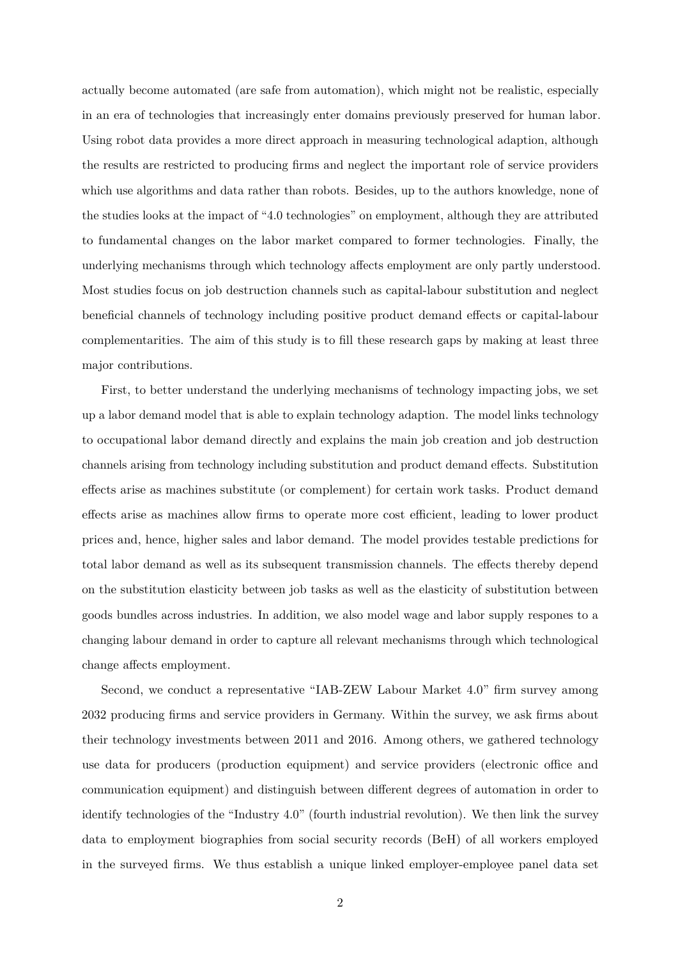actually become automated (are safe from automation), which might not be realistic, especially in an era of technologies that increasingly enter domains previously preserved for human labor. Using robot data provides a more direct approach in measuring technological adaption, although the results are restricted to producing firms and neglect the important role of service providers which use algorithms and data rather than robots. Besides, up to the authors knowledge, none of the studies looks at the impact of "4.0 technologies" on employment, although they are attributed to fundamental changes on the labor market compared to former technologies. Finally, the underlying mechanisms through which technology affects employment are only partly understood. Most studies focus on job destruction channels such as capital-labour substitution and neglect beneficial channels of technology including positive product demand effects or capital-labour complementarities. The aim of this study is to fill these research gaps by making at least three major contributions.

First, to better understand the underlying mechanisms of technology impacting jobs, we set up a labor demand model that is able to explain technology adaption. The model links technology to occupational labor demand directly and explains the main job creation and job destruction channels arising from technology including substitution and product demand effects. Substitution effects arise as machines substitute (or complement) for certain work tasks. Product demand effects arise as machines allow firms to operate more cost efficient, leading to lower product prices and, hence, higher sales and labor demand. The model provides testable predictions for total labor demand as well as its subsequent transmission channels. The effects thereby depend on the substitution elasticity between job tasks as well as the elasticity of substitution between goods bundles across industries. In addition, we also model wage and labor supply respones to a changing labour demand in order to capture all relevant mechanisms through which technological change affects employment.

Second, we conduct a representative "IAB-ZEW Labour Market 4.0" firm survey among 2032 producing firms and service providers in Germany. Within the survey, we ask firms about their technology investments between 2011 and 2016. Among others, we gathered technology use data for producers (production equipment) and service providers (electronic office and communication equipment) and distinguish between different degrees of automation in order to identify technologies of the "Industry 4.0" (fourth industrial revolution). We then link the survey data to employment biographies from social security records (BeH) of all workers employed in the surveyed firms. We thus establish a unique linked employer-employee panel data set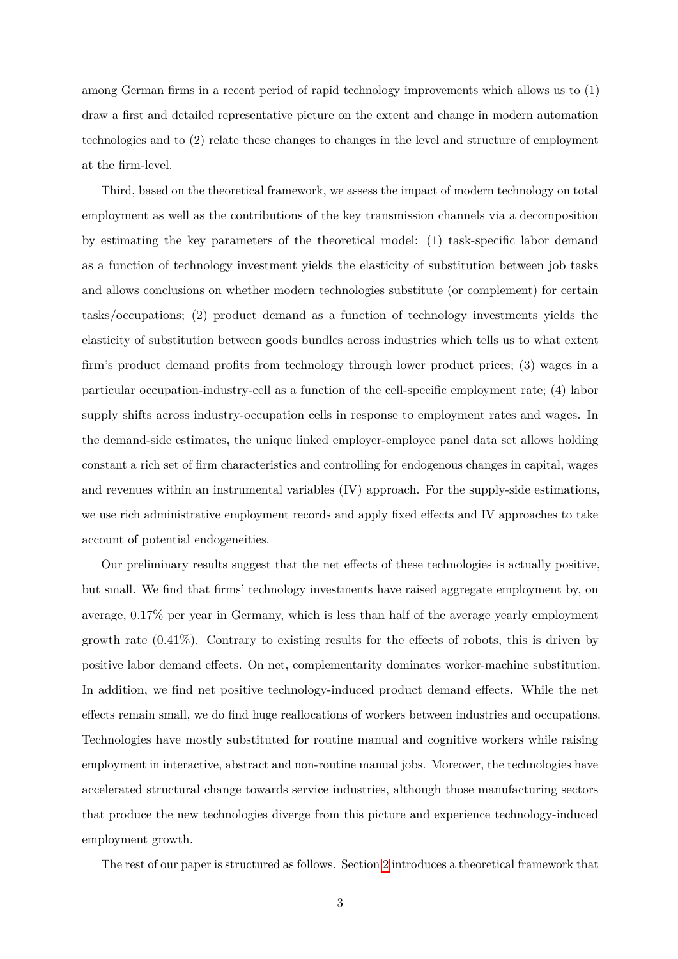among German firms in a recent period of rapid technology improvements which allows us to (1) draw a first and detailed representative picture on the extent and change in modern automation technologies and to (2) relate these changes to changes in the level and structure of employment at the firm-level.

Third, based on the theoretical framework, we assess the impact of modern technology on total employment as well as the contributions of the key transmission channels via a decomposition by estimating the key parameters of the theoretical model: (1) task-specific labor demand as a function of technology investment yields the elasticity of substitution between job tasks and allows conclusions on whether modern technologies substitute (or complement) for certain tasks/occupations; (2) product demand as a function of technology investments yields the elasticity of substitution between goods bundles across industries which tells us to what extent firm's product demand profits from technology through lower product prices; (3) wages in a particular occupation-industry-cell as a function of the cell-specific employment rate; (4) labor supply shifts across industry-occupation cells in response to employment rates and wages. In the demand-side estimates, the unique linked employer-employee panel data set allows holding constant a rich set of firm characteristics and controlling for endogenous changes in capital, wages and revenues within an instrumental variables (IV) approach. For the supply-side estimations, we use rich administrative employment records and apply fixed effects and IV approaches to take account of potential endogeneities.

Our preliminary results suggest that the net effects of these technologies is actually positive, but small. We find that firms' technology investments have raised aggregate employment by, on average, 0.17% per year in Germany, which is less than half of the average yearly employment growth rate  $(0.41\%)$ . Contrary to existing results for the effects of robots, this is driven by positive labor demand effects. On net, complementarity dominates worker-machine substitution. In addition, we find net positive technology-induced product demand effects. While the net effects remain small, we do find huge reallocations of workers between industries and occupations. Technologies have mostly substituted for routine manual and cognitive workers while raising employment in interactive, abstract and non-routine manual jobs. Moreover, the technologies have accelerated structural change towards service industries, although those manufacturing sectors that produce the new technologies diverge from this picture and experience technology-induced employment growth.

The rest of our paper is structured as follows. Section [2](#page-4-0) introduces a theoretical framework that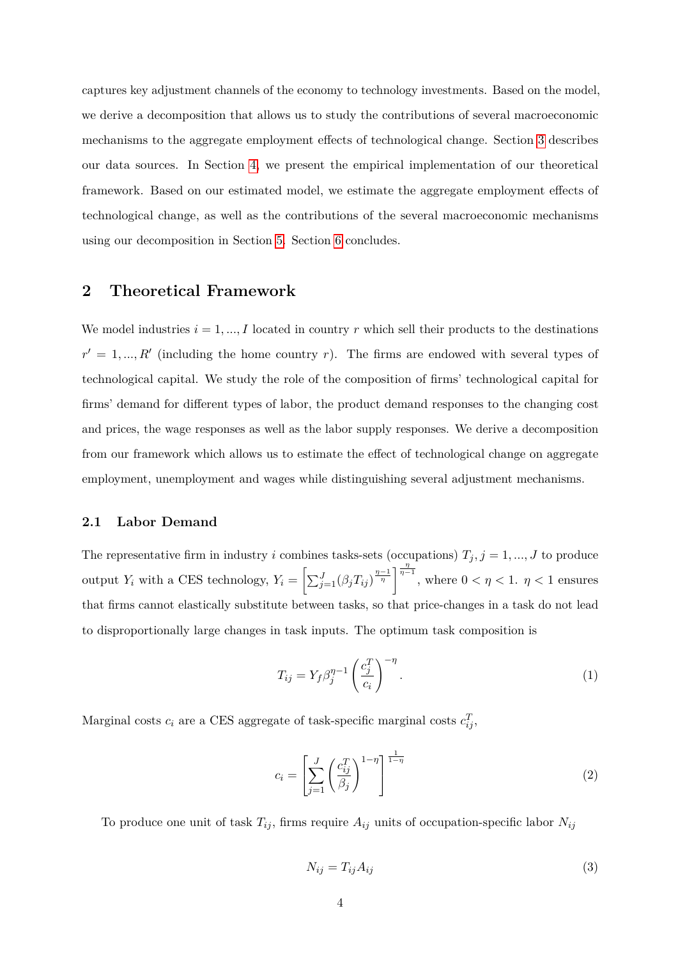captures key adjustment channels of the economy to technology investments. Based on the model, we derive a decomposition that allows us to study the contributions of several macroeconomic mechanisms to the aggregate employment effects of technological change. Section [3](#page-13-0) describes our data sources. In Section [4,](#page-17-0) we present the empirical implementation of our theoretical framework. Based on our estimated model, we estimate the aggregate employment effects of technological change, as well as the contributions of the several macroeconomic mechanisms using our decomposition in Section [5.](#page-24-0) Section [6](#page-29-0) concludes.

# <span id="page-4-0"></span>**2 Theoretical Framework**

We model industries  $i = 1, ..., I$  located in country  $r$  which sell their products to the destinations  $r' = 1, ..., R'$  (including the home country *r*). The firms are endowed with several types of technological capital. We study the role of the composition of firms' technological capital for firms' demand for different types of labor, the product demand responses to the changing cost and prices, the wage responses as well as the labor supply responses. We derive a decomposition from our framework which allows us to estimate the effect of technological change on aggregate employment, unemployment and wages while distinguishing several adjustment mechanisms.

## <span id="page-4-1"></span>**2.1 Labor Demand**

The representative firm in industry *i* combines tasks-sets (occupations)  $T_j$ ,  $j = 1, ..., J$  to produce output *Y*<sub>*i*</sub> with a CES technology,  $Y_i = \left[\sum_{j=1}^{J}(\beta_j T_{ij})^{\frac{\eta-1}{\eta}}\right]^{\frac{\eta}{\eta-1}}$ , where  $0 < \eta < 1$ .  $\eta < 1$  ensures that firms cannot elastically substitute between tasks, so that price-changes in a task do not lead to disproportionally large changes in task inputs. The optimum task composition is

$$
T_{ij} = Y_f \beta_j^{\eta - 1} \left(\frac{c_j^T}{c_i}\right)^{-\eta}.
$$
\n(1)

Marginal costs  $c_i$  are a CES aggregate of task-specific marginal costs  $c_{ij}^T$ ,

$$
c_i = \left[\sum_{j=1}^{J} \left(\frac{c_{ij}^T}{\beta_j}\right)^{1-\eta}\right]^{\frac{1}{1-\eta}}
$$
\n(2)

To produce one unit of task  $T_{ij}$ , firms require  $A_{ij}$  units of occupation-specific labor  $N_{ij}$ 

$$
N_{ij} = T_{ij} A_{ij} \tag{3}
$$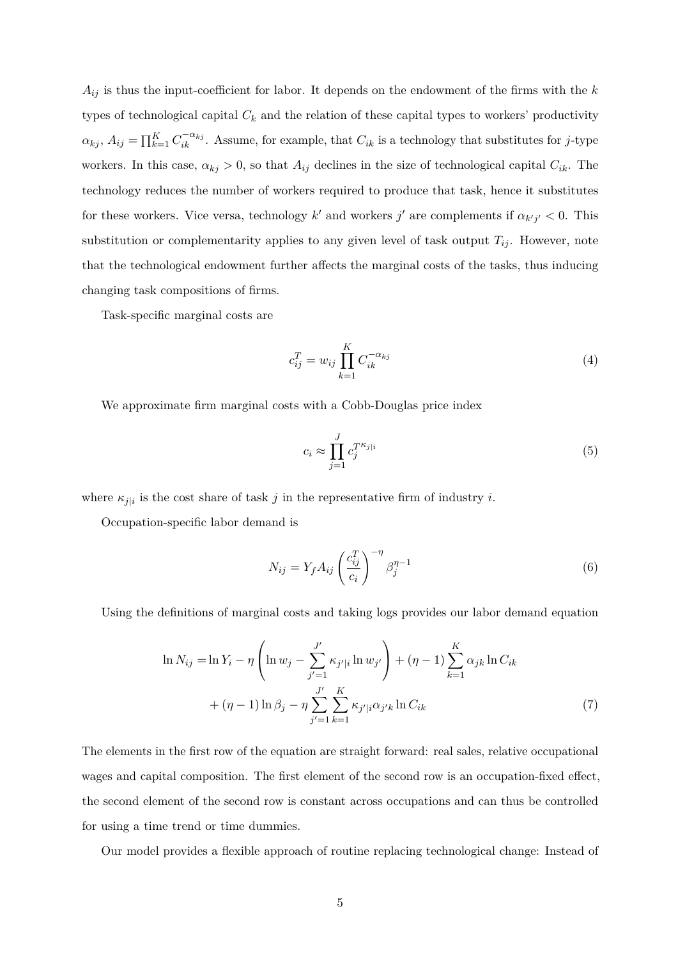$A_{ij}$  is thus the input-coefficient for labor. It depends on the endowment of the firms with the  $k$ types of technological capital  $C_k$  and the relation of these capital types to workers' productivity  $\alpha_{kj}$ ,  $A_{ij} = \prod_{k=1}^{K} C_{ik}^{-\alpha_{kj}}$ . Assume, for example, that  $C_{ik}$  is a technology that substitutes for *j*-type workers. In this case,  $\alpha_{kj} > 0$ , so that  $A_{ij}$  declines in the size of technological capital  $C_{ik}$ . The technology reduces the number of workers required to produce that task, hence it substitutes for these workers. Vice versa, technology *k'* and workers *j'* are complements if  $\alpha_{k'j'} < 0$ . This substitution or complementarity applies to any given level of task output  $T_{ij}$ . However, note that the technological endowment further affects the marginal costs of the tasks, thus inducing changing task compositions of firms.

Task-specific marginal costs are

$$
c_{ij}^T = w_{ij} \prod_{k=1}^K C_{ik}^{-\alpha_{kj}}
$$
 (4)

We approximate firm marginal costs with a Cobb-Douglas price index

$$
c_i \approx \prod_{j=1}^{J} c_j^{T^{\kappa_{j|i}}} \tag{5}
$$

where  $\kappa_{j|i}$  is the cost share of task *j* in the representative firm of industry *i*.

Occupation-specific labor demand is

<span id="page-5-0"></span>
$$
N_{ij} = Y_f A_{ij} \left(\frac{c_{ij}^T}{c_i}\right)^{-\eta} \beta_j^{\eta - 1}
$$
\n(6)

Using the definitions of marginal costs and taking logs provides our labor demand equation

$$
\ln N_{ij} = \ln Y_i - \eta \left( \ln w_j - \sum_{j'=1}^{J'} \kappa_{j'|i} \ln w_{j'} \right) + (\eta - 1) \sum_{k=1}^{K} \alpha_{jk} \ln C_{ik} + (\eta - 1) \ln \beta_j - \eta \sum_{j'=1}^{J'} \sum_{k=1}^{K} \kappa_{j'|i} \alpha_{j'k} \ln C_{ik}
$$
\n(7)

The elements in the first row of the equation are straight forward: real sales, relative occupational wages and capital composition. The first element of the second row is an occupation-fixed effect, the second element of the second row is constant across occupations and can thus be controlled for using a time trend or time dummies.

Our model provides a flexible approach of routine replacing technological change: Instead of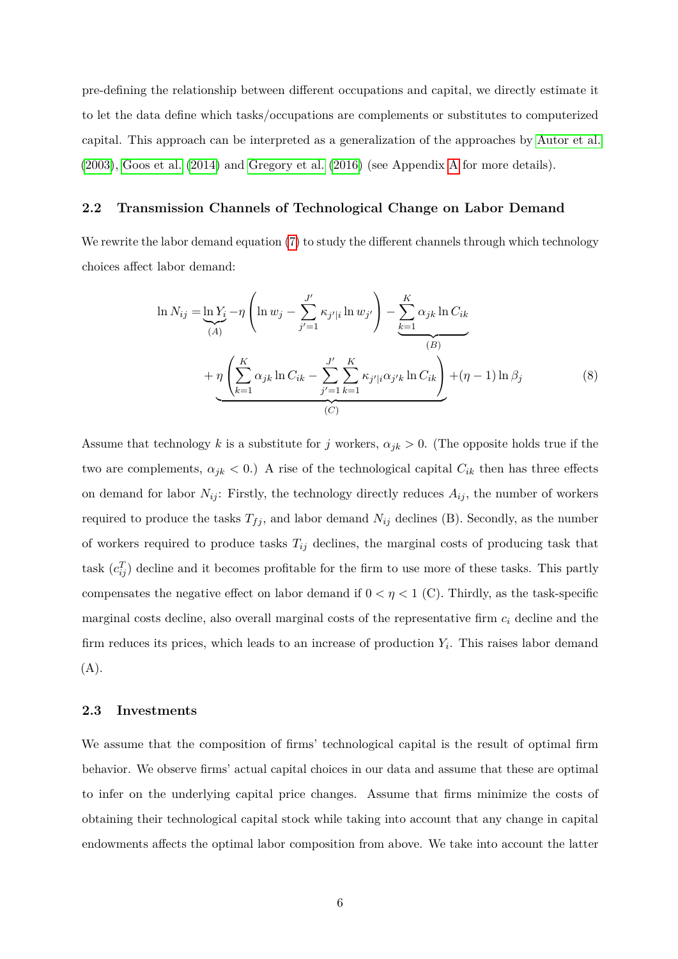pre-defining the relationship between different occupations and capital, we directly estimate it to let the data define which tasks/occupations are complements or substitutes to computerized capital. This approach can be interpreted as a generalization of the approaches by [Autor et al.](#page-31-8) [\(2003\)](#page-31-8), [Goos et al.](#page-32-3) [\(2014\)](#page-32-3) and [Gregory et al.](#page-32-2) [\(2016\)](#page-32-2) (see Appendix [A](#page-33-0) for more details).

#### **2.2 Transmission Channels of Technological Change on Labor Demand**

We rewrite the labor demand equation [\(7\)](#page-5-0) to study the different channels through which technology choices affect labor demand:

$$
\ln N_{ij} = \underbrace{\ln Y_i}_{(A)} - \eta \left( \ln w_j - \sum_{j'=1}^{J'} \kappa_{j'|i} \ln w_{j'} \right) - \underbrace{\sum_{k=1}^{K} \alpha_{jk} \ln C_{ik}}_{(B)} + \eta \left( \sum_{k=1}^{K} \alpha_{jk} \ln C_{ik} - \sum_{j'=1}^{J'} \sum_{k=1}^{K} \kappa_{j'|i} \alpha_{j'k} \ln C_{ik} \right) + (\eta - 1) \ln \beta_j \tag{8}
$$

Assume that technology *k* is a substitute for *j* workers,  $\alpha_{jk} > 0$ . (The opposite holds true if the two are complements,  $\alpha_{jk} < 0$ .) A rise of the technological capital  $C_{ik}$  then has three effects on demand for labor  $N_{ij}$ : Firstly, the technology directly reduces  $A_{ij}$ , the number of workers required to produce the tasks  $T_{fj}$ , and labor demand  $N_{ij}$  declines (B). Secondly, as the number of workers required to produce tasks *Tij* declines, the marginal costs of producing task that task  $(c_{ij}^T)$  decline and it becomes profitable for the firm to use more of these tasks. This partly compensates the negative effect on labor demand if  $0 < \eta < 1$  (C). Thirdly, as the task-specific marginal costs decline, also overall marginal costs of the representative firm *c<sup>i</sup>* decline and the firm reduces its prices, which leads to an increase of production *Y<sup>i</sup>* . This raises labor demand  $(A).$ 

#### **2.3 Investments**

We assume that the composition of firms' technological capital is the result of optimal firm behavior. We observe firms' actual capital choices in our data and assume that these are optimal to infer on the underlying capital price changes. Assume that firms minimize the costs of obtaining their technological capital stock while taking into account that any change in capital endowments affects the optimal labor composition from above. We take into account the latter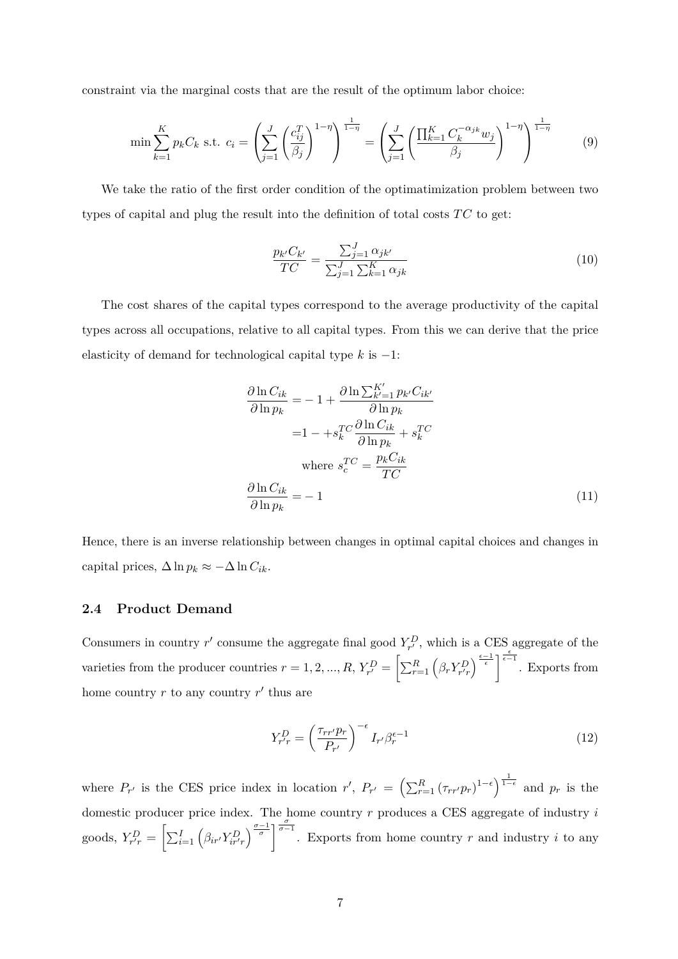constraint via the marginal costs that are the result of the optimum labor choice:

$$
\min \sum_{k=1}^{K} p_k C_k \text{ s.t. } c_i = \left(\sum_{j=1}^{J} \left(\frac{c_{ij}^T}{\beta_j}\right)^{1-\eta}\right)^{\frac{1}{1-\eta}} = \left(\sum_{j=1}^{J} \left(\frac{\prod_{k=1}^{K} C_k^{-\alpha_{jk}} w_j}{\beta_j}\right)^{1-\eta}\right)^{\frac{1}{1-\eta}}
$$
(9)

We take the ratio of the first order condition of the optimatimization problem between two types of capital and plug the result into the definition of total costs  $TC$  to get:

$$
\frac{p_{k'}C_{k'}}{TC} = \frac{\sum_{j=1}^{J} \alpha_{jk'}}{\sum_{j=1}^{J} \sum_{k=1}^{K} \alpha_{jk}}
$$
(10)

The cost shares of the capital types correspond to the average productivity of the capital types across all occupations, relative to all capital types. From this we can derive that the price elasticity of demand for technological capital type *k* is −1:

$$
\frac{\partial \ln C_{ik}}{\partial \ln p_k} = -1 + \frac{\partial \ln \sum_{k'=1}^{K'} p_{k'} C_{ik'}}{\partial \ln p_k}
$$

$$
= 1 - +s_k^T C \frac{\partial \ln C_{ik}}{\partial \ln p_k} + s_k^T C
$$
where  $s_c^T C = \frac{p_k C_{ik}}{TC}$ 
$$
\frac{\partial \ln C_{ik}}{\partial \ln p_k} = -1
$$
(11)

Hence, there is an inverse relationship between changes in optimal capital choices and changes in capital prices,  $\Delta \ln p_k \approx -\Delta \ln C_{ik}$ .

## <span id="page-7-0"></span>**2.4 Product Demand**

Consumers in country  $r'$  consume the aggregate final good  $Y_{r'}^D$ , which is a CES aggregate of the varieties from the producer countries  $r = 1, 2, ..., R$ ,  $Y_{r'}^D = \left[\sum_{r=1}^R \left(\beta_r Y_{r'r}^D\right)^{\frac{\epsilon-1}{\epsilon}}\right]^{\frac{\epsilon}{\epsilon-1}}$ . Exports from home country  $r$  to any country  $r'$  thus are

$$
Y_{r'r}^D = \left(\frac{\tau_{rr'}p_r}{P_{r'}}\right)^{-\epsilon} I_{r'} \beta_r^{\epsilon-1}
$$
\n(12)

where  $P_{r'}$  is the CES price index in location  $r'$ ,  $P_{r'} = \left(\sum_{r=1}^R (\tau_{rr'} p_r)^{1-\epsilon}\right)^{\frac{1}{1-\epsilon}}$  and  $p_r$  is the domestic producer price index. The home country *r* produces a CES aggregate of industry *i* goods,  $Y_{r'r}^D = \left[\sum_{i=1}^I \left(\beta_{ir'} Y_{ir'r}^D\right)^{\frac{\sigma-1}{\sigma}}\right]^{\frac{\sigma}{\sigma-1}}$ . Exports from home country r and industry i to any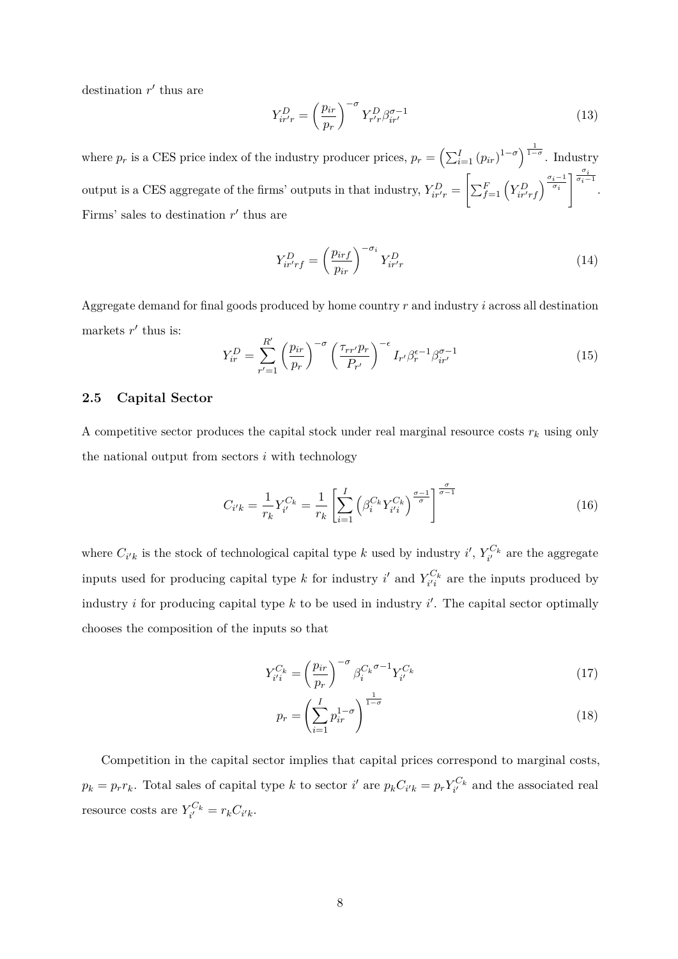destination  $r'$  thus are

$$
Y_{ir'r}^D = \left(\frac{p_{ir}}{p_r}\right)^{-\sigma} Y_{r'r}^D \beta_{ir'}^{\sigma - 1}
$$
\n(13)

where  $p_r$  is a CES price index of the industry producer prices,  $p_r = \left(\sum_{i=1}^I (p_{ir})^{1-\sigma}\right)^{\frac{1}{1-\sigma}}$ . Industry output is a CES aggregate of the firms' outputs in that industry,  $Y_{ir'r}^D$  =  $\left[\sum_{f=1}^F \left(Y_{ir'rf}^D\right)^{\frac{\sigma_i-1}{\sigma_i}}\right]^{\frac{\sigma_i}{\sigma_i-1}}$ . Firms' sales to destination  $r'$  thus are

$$
Y_{ir'r}^D = \left(\frac{p_{irf}}{p_{ir}}\right)^{-\sigma_i} Y_{ir'r}^D \tag{14}
$$

Aggregate demand for final goods produced by home country *r* and industry *i* across all destination markets  $r'$  thus is:

$$
Y_{ir}^{D} = \sum_{r'=1}^{R'} \left(\frac{p_{ir}}{p_r}\right)^{-\sigma} \left(\frac{\tau_{rr'} p_r}{P_{r'}}\right)^{-\epsilon} I_{r'} \beta_r^{\epsilon-1} \beta_{ir'}^{\sigma-1}
$$
(15)

## **2.5 Capital Sector**

A competitive sector produces the capital stock under real marginal resource costs  $r_k$  using only the national output from sectors *i* with technology

$$
C_{i'k} = \frac{1}{r_k} Y_{i'}^{C_k} = \frac{1}{r_k} \left[ \sum_{i=1}^{I} \left( \beta_i^{C_k} Y_{i'i}^{C_k} \right)^{\frac{\sigma - 1}{\sigma}} \right]^{\frac{\sigma}{\sigma - 1}}
$$
(16)

where  $C_{i'k}$  is the stock of technological capital type *k* used by industry *i*',  $Y_{i'}^{C_k}$  are the aggregate inputs used for producing capital type *k* for industry *i*' and  $Y_{i'i}^{C_k}$  are the inputs produced by industry *i* for producing capital type  $k$  to be used in industry  $i'$ . The capital sector optimally chooses the composition of the inputs so that

$$
Y_{i'i}^{C_k} = \left(\frac{p_{ir}}{p_r}\right)^{-\sigma} \beta_i^{C_k \sigma - 1} Y_{i'}^{C_k} \tag{17}
$$

$$
p_r = \left(\sum_{i=1}^{I} p_{ir}^{1-\sigma}\right)^{\frac{1}{1-\sigma}}
$$
\n(18)

Competition in the capital sector implies that capital prices correspond to marginal costs,  $p_k = p_r r_k$ . Total sales of capital type k to sector i' are  $p_k C_{i'k} = p_r Y_{i'}^{C_k}$  and the associated real resource costs are  $Y_{i'}^{C_k} = r_k C_{i'k}$ .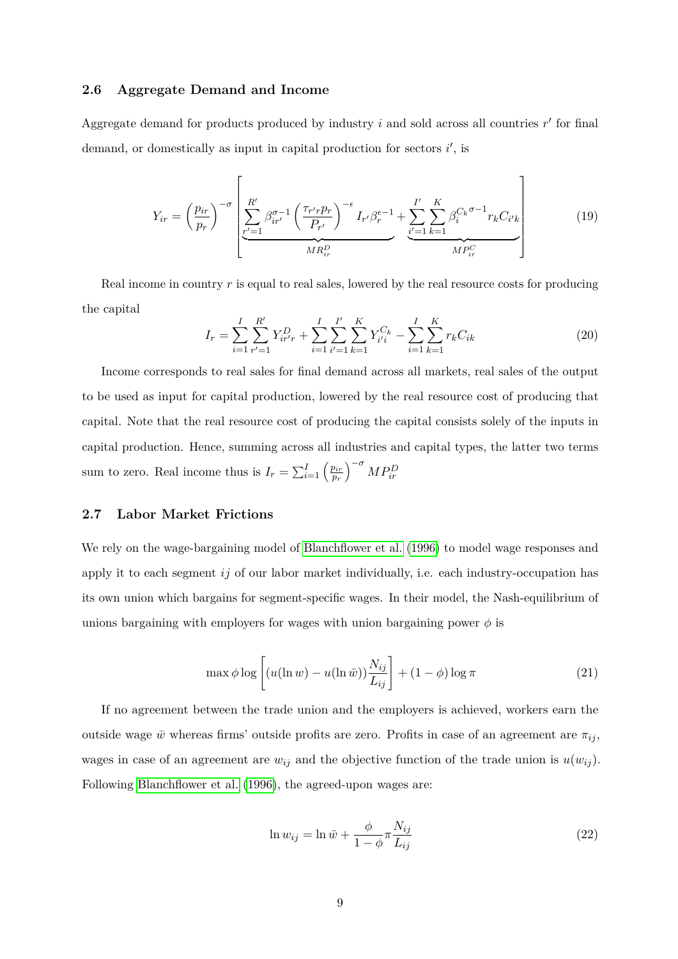#### **2.6 Aggregate Demand and Income**

Aggregate demand for products produced by industry  $i$  and sold across all countries  $r'$  for final demand, or domestically as input in capital production for sectors *i*', is

$$
Y_{ir} = \left(\frac{p_{ir}}{p_r}\right)^{-\sigma} \left[ \underbrace{\sum_{r'=1}^{R'} \beta_{ir'}^{\sigma-1} \left(\frac{\tau_{r'r}p_r}{P_{r'}}\right)^{-\epsilon}}_{MR_{ir}^D} I_{r'} \beta_r^{\epsilon-1} + \underbrace{\sum_{i'=1}^{I'} \sum_{k=1}^{K} \beta_i^{C_k \sigma-1} r_k C_{i'k}}_{MP_{ir}^C} \right] \tag{19}
$$

Real income in country *r* is equal to real sales, lowered by the real resource costs for producing the capital

$$
I_r = \sum_{i=1}^{I} \sum_{r'=1}^{R'} Y_{ir'r}^D + \sum_{i=1}^{I} \sum_{i'=1}^{I'} \sum_{k=1}^{K} Y_{i'i}^{C_k} - \sum_{i=1}^{I} \sum_{k=1}^{K} r_k C_{ik}
$$
(20)

Income corresponds to real sales for final demand across all markets, real sales of the output to be used as input for capital production, lowered by the real resource cost of producing that capital. Note that the real resource cost of producing the capital consists solely of the inputs in capital production. Hence, summing across all industries and capital types, the latter two terms sum to zero. Real income thus is  $I_r = \sum_{i=1}^{I} \left( \frac{p_{ir}}{p_r} \right)$ *pr*  $\int$ <sup>- $\sigma$ </sup>  $MP_{ir}^D$ 

#### <span id="page-9-0"></span>**2.7 Labor Market Frictions**

We rely on the wage-bargaining model of [Blanchflower et al.](#page-31-9) [\(1996\)](#page-31-9) to model wage responses and apply it to each segment *ij* of our labor market individually, i.e. each industry-occupation has its own union which bargains for segment-specific wages. In their model, the Nash-equilibrium of unions bargaining with employers for wages with union bargaining power  $\phi$  is

$$
\max \phi \log \left[ (u(\ln w) - u(\ln \bar{w})) \frac{N_{ij}}{L_{ij}} \right] + (1 - \phi) \log \pi \tag{21}
$$

If no agreement between the trade union and the employers is achieved, workers earn the outside wage  $\bar{w}$  whereas firms' outside profits are zero. Profits in case of an agreement are  $\pi_{ij}$ , wages in case of an agreement are  $w_{ij}$  and the objective function of the trade union is  $u(w_{ij})$ . Following [Blanchflower et al.](#page-31-9) [\(1996\)](#page-31-9), the agreed-upon wages are:

$$
\ln w_{ij} = \ln \bar{w} + \frac{\phi}{1 - \phi} \pi \frac{N_{ij}}{L_{ij}} \tag{22}
$$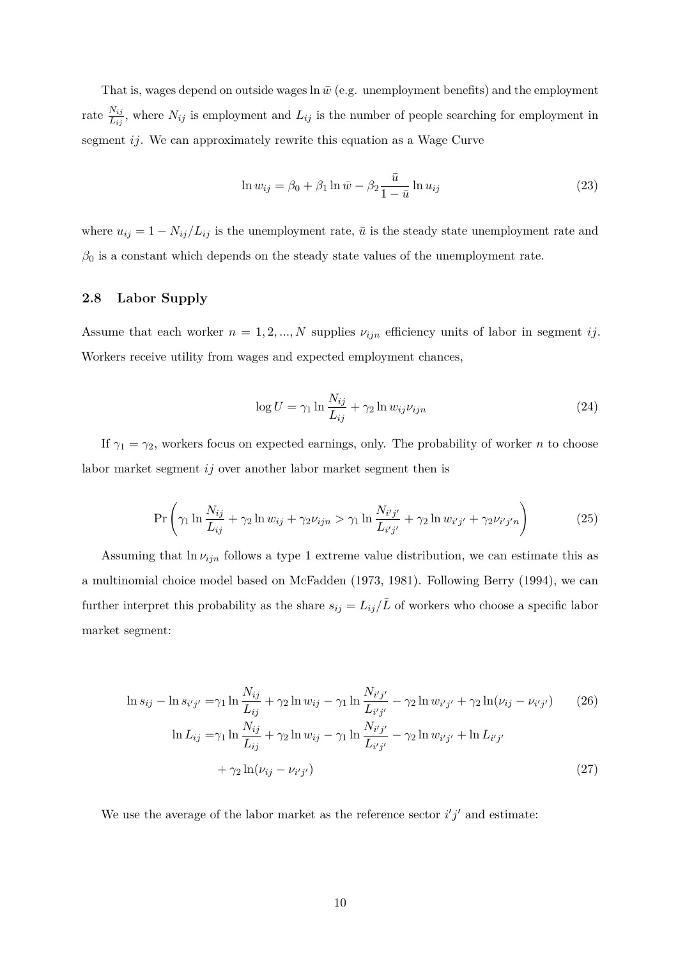That is, wages depend on outside wages  $\ln \bar{w}$  (e.g. unemployment benefits) and the employment rate  $\frac{N_{ij}}{L_{ij}}$ , where  $N_{ij}$  is employment and  $L_{ij}$  is the number of people searching for employment in segment *ij*. We can approximately rewrite this equation as a Wage Curve

$$
\ln w_{ij} = \beta_0 + \beta_1 \ln \bar{w} - \beta_2 \frac{\bar{u}}{1 - \bar{u}} \ln u_{ij}
$$
\n(23)

where  $u_{ij} = 1 - N_{ij}/L_{ij}$  is the unemployment rate,  $\bar{u}$  is the steady state unemployment rate and  $\beta_0$  is a constant which depends on the steady state values of the unemployment rate.

## <span id="page-10-0"></span>**2.8 Labor Supply**

Assume that each worker  $n = 1, 2, ..., N$  supplies  $\nu_{ijn}$  efficiency units of labor in segment *ij*. Workers receive utility from wages and expected employment chances,

$$
\log U = \gamma_1 \ln \frac{N_{ij}}{L_{ij}} + \gamma_2 \ln w_{ij} \nu_{ijn} \tag{24}
$$

If  $\gamma_1 = \gamma_2$ , workers focus on expected earnings, only. The probability of worker *n* to choose labor market segment *ij* over another labor market segment then is

$$
\Pr\left(\gamma_1 \ln \frac{N_{ij}}{L_{ij}} + \gamma_2 \ln w_{ij} + \gamma_2 \nu_{ijn} > \gamma_1 \ln \frac{N_{i'j'}}{L_{i'j'}} + \gamma_2 \ln w_{i'j'} + \gamma_2 \nu_{i'j'n}\right)
$$
(25)

Assuming that  $\ln \nu_{ijn}$  follows a type 1 extreme value distribution, we can estimate this as a multinomial choice model based on McFadden (1973, 1981). Following Berry (1994), we can further interpret this probability as the share  $s_{ij} = L_{ij}/\bar{L}$  of workers who choose a specific labor market segment:

$$
\ln s_{ij} - \ln s_{i'j'} = \gamma_1 \ln \frac{N_{ij}}{L_{ij}} + \gamma_2 \ln w_{ij} - \gamma_1 \ln \frac{N_{i'j'}}{L_{i'j'}} - \gamma_2 \ln w_{i'j'} + \gamma_2 \ln(\nu_{ij} - \nu_{i'j'}) \tag{26}
$$

$$
\ln L_{ij} = \gamma_1 \ln \frac{N_{ij}}{L_{ij}} + \gamma_2 \ln w_{ij} - \gamma_1 \ln \frac{N_{i'j'}}{L_{i'j'}} - \gamma_2 \ln w_{i'j'} + \ln L_{i'j'}
$$

$$
+ \gamma_2 \ln (\nu_{ij} - \nu_{i'j'}) \tag{27}
$$

We use the average of the labor market as the reference sector  $i'j'$  and estimate: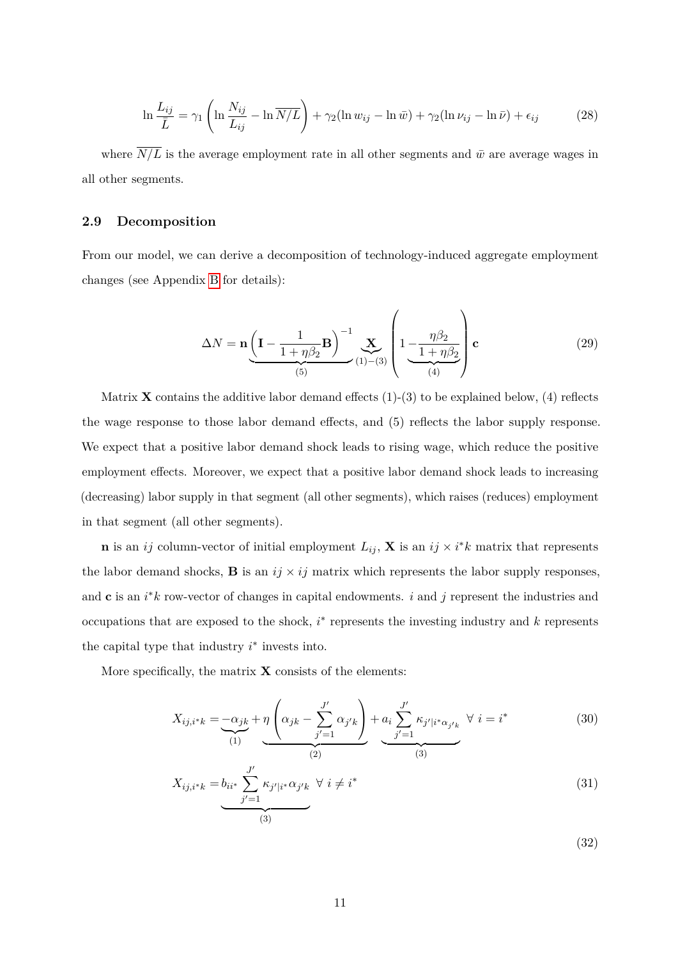$$
\ln \frac{L_{ij}}{\bar{L}} = \gamma_1 \left( \ln \frac{N_{ij}}{L_{ij}} - \ln \overline{N/L} \right) + \gamma_2 (\ln w_{ij} - \ln \bar{w}) + \gamma_2 (\ln \nu_{ij} - \ln \bar{\nu}) + \epsilon_{ij}
$$
(28)

where  $\overline{N/L}$  is the average employment rate in all other segments and  $\bar{w}$  are average wages in all other segments.

#### **2.9 Decomposition**

From our model, we can derive a decomposition of technology-induced aggregate employment changes (see Appendix [B](#page-34-0) for details):

<span id="page-11-0"></span>
$$
\Delta N = \mathbf{n} \underbrace{\left(\mathbf{I} - \frac{1}{1 + \eta \beta_2} \mathbf{B}\right)^{-1}}_{(5)} \underbrace{\mathbf{X}}_{(1) - (3)} \left(1 - \underbrace{\frac{\eta \beta_2}{1 + \eta \beta_2}}_{(4)}\right) \mathbf{c}
$$
(29)

Matrix **X** contains the additive labor demand effects  $(1)-(3)$  to be explained below,  $(4)$  reflects the wage response to those labor demand effects, and (5) reflects the labor supply response. We expect that a positive labor demand shock leads to rising wage, which reduce the positive employment effects. Moreover, we expect that a positive labor demand shock leads to increasing (decreasing) labor supply in that segment (all other segments), which raises (reduces) employment in that segment (all other segments).

**n** is an *ij* column-vector of initial employment  $L_{ij}$ , **X** is an  $ij \times i^*k$  matrix that represents the labor demand shocks, **B** is an  $ij \times ij$  matrix which represents the labor supply responses, and  $\mathbf{c}$  is an  $i^*k$  row-vector of changes in capital endowments. *i* and *j* represent the industries and occupations that are exposed to the shock, *i* ∗ represents the investing industry and *k* represents the capital type that industry  $i^*$  invests into.

More specifically, the matrix  $\bf{X}$  consists of the elements:

$$
X_{ij,i^*k} = -\frac{\alpha_{jk}}{\binom{1}{1}} + \eta \left(\alpha_{jk} - \sum_{j'=1}^{J'} \alpha_{j'k}\right) + a_i \sum_{j'=1}^{J'} \kappa_{j'|i^*\alpha_{j'k}} \ \forall \ i = i^*
$$
(30)

$$
X_{ij,i^*k} = b_{ii^*} \sum_{j'=1}^{J'} \kappa_{j'|i^*} \alpha_{j'k} \quad \forall \ i \neq i^* \tag{31}
$$

(32)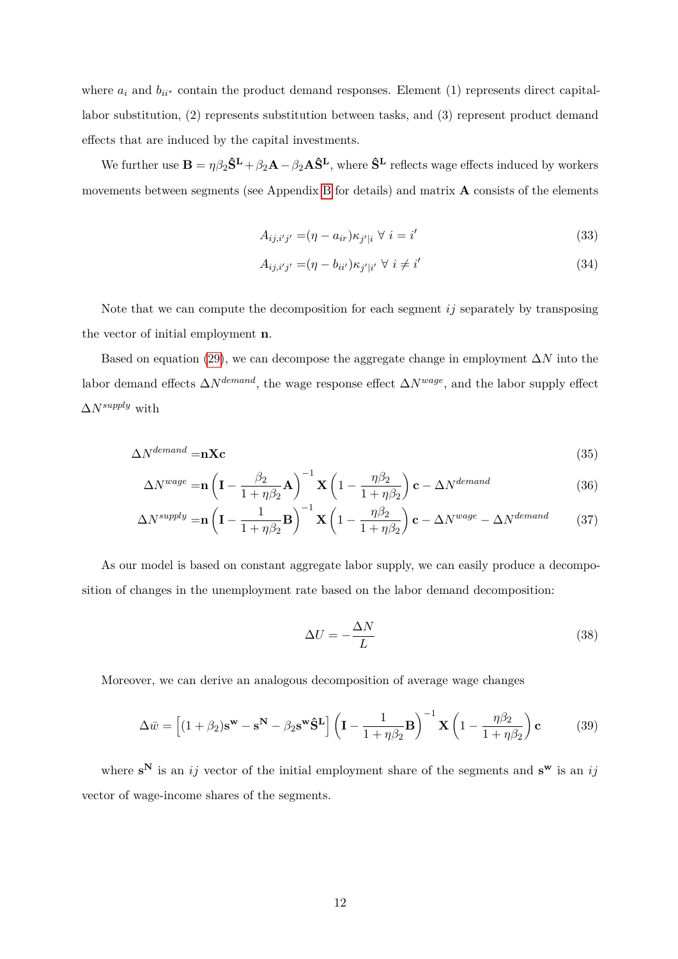where  $a_i$  and  $b_{ii^*}$  contain the product demand responses. Element (1) represents direct capitallabor substitution, (2) represents substitution between tasks, and (3) represent product demand effects that are induced by the capital investments.

We further use  $\mathbf{B} = \eta \beta_2 \hat{\mathbf{S}}^{\mathbf{L}} + \beta_2 \mathbf{A} - \beta_2 \mathbf{A} \hat{\mathbf{S}}^{\mathbf{L}}$ , where  $\hat{\mathbf{S}}^{\mathbf{L}}$  reflects wage effects induced by workers movements between segments (see Appendix [B](#page-34-0) for details) and matrix **A** consists of the elements

$$
A_{ij,i'j'} = (\eta - a_{ir})\kappa_{j'|i} \ \forall \ i = i'
$$
\n
$$
(33)
$$

$$
A_{ij,i'j'} = (\eta - b_{ii'})\kappa_{j'|i'} \ \forall \ i \neq i'
$$
\n(34)

Note that we can compute the decomposition for each segment *ij* separately by transposing the vector of initial employment **n**.

Based on equation [\(29\)](#page-11-0), we can decompose the aggregate change in employment ∆*N* into the labor demand effects ∆*Ndemand*, the wage response effect ∆*Nwage*, and the labor supply effect ∆*Nsupply* with

$$
\Delta N^{demand} = \mathbf{n} \mathbf{X} \mathbf{c} \tag{35}
$$

$$
\Delta N^{wage} = \mathbf{n} \left( \mathbf{I} - \frac{\beta_2}{1 + \eta \beta_2} \mathbf{A} \right)^{-1} \mathbf{X} \left( 1 - \frac{\eta \beta_2}{1 + \eta \beta_2} \right) \mathbf{c} - \Delta N^{demand}
$$
(36)

$$
\Delta N^{supply} = \mathbf{n} \left( \mathbf{I} - \frac{1}{1 + \eta \beta_2} \mathbf{B} \right)^{-1} \mathbf{X} \left( 1 - \frac{\eta \beta_2}{1 + \eta \beta_2} \right) \mathbf{c} - \Delta N^{wage} - \Delta N^{demand}
$$
(37)

As our model is based on constant aggregate labor supply, we can easily produce a decomposition of changes in the unemployment rate based on the labor demand decomposition:

$$
\Delta U = -\frac{\Delta N}{L} \tag{38}
$$

Moreover, we can derive an analogous decomposition of average wage changes

$$
\Delta \bar{w} = \left[ (1 + \beta_2) \mathbf{s}^{\mathbf{w}} - \mathbf{s}^{\mathbf{N}} - \beta_2 \mathbf{s}^{\mathbf{w}} \hat{\mathbf{S}}^{\mathbf{L}} \right] \left( \mathbf{I} - \frac{1}{1 + \eta \beta_2} \mathbf{B} \right)^{-1} \mathbf{X} \left( 1 - \frac{\eta \beta_2}{1 + \eta \beta_2} \right) \mathbf{c}
$$
(39)

where  $\mathbf{s}^N$  is an *ij* vector of the initial employment share of the segments and  $\mathbf{s}^w$  is an *ij* vector of wage-income shares of the segments.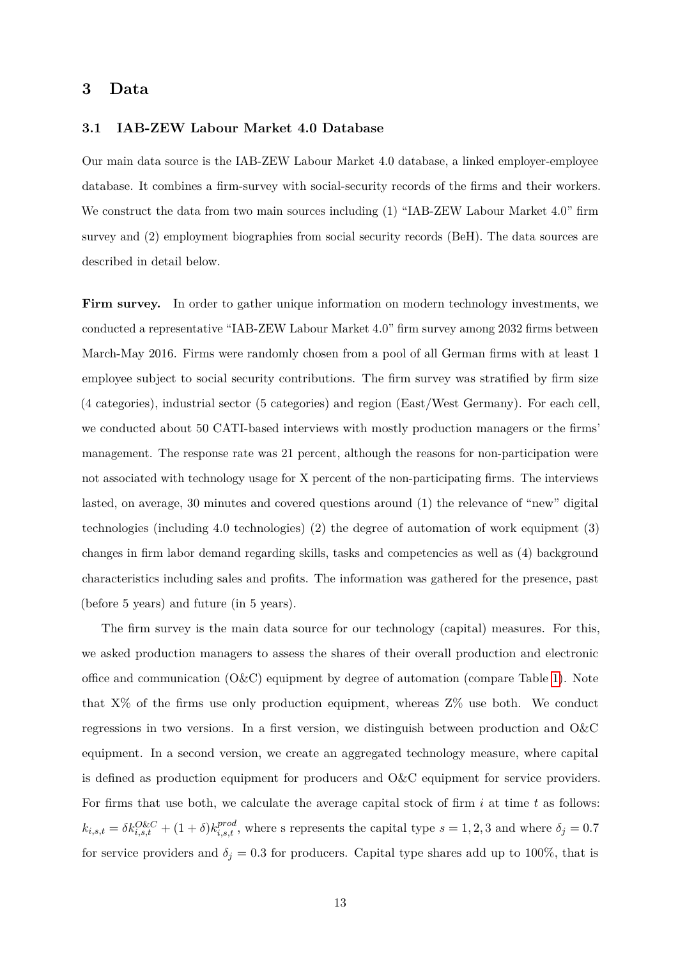# <span id="page-13-0"></span>**3 Data**

#### **3.1 IAB-ZEW Labour Market 4.0 Database**

Our main data source is the IAB-ZEW Labour Market 4.0 database, a linked employer-employee database. It combines a firm-survey with social-security records of the firms and their workers. We construct the data from two main sources including (1) "IAB-ZEW Labour Market 4.0" firm survey and (2) employment biographies from social security records (BeH). The data sources are described in detail below.

Firm survey. In order to gather unique information on modern technology investments, we conducted a representative "IAB-ZEW Labour Market 4.0" firm survey among 2032 firms between March-May 2016. Firms were randomly chosen from a pool of all German firms with at least 1 employee subject to social security contributions. The firm survey was stratified by firm size (4 categories), industrial sector (5 categories) and region (East/West Germany). For each cell, we conducted about 50 CATI-based interviews with mostly production managers or the firms' management. The response rate was 21 percent, although the reasons for non-participation were not associated with technology usage for X percent of the non-participating firms. The interviews lasted, on average, 30 minutes and covered questions around (1) the relevance of "new" digital technologies (including 4.0 technologies) (2) the degree of automation of work equipment (3) changes in firm labor demand regarding skills, tasks and competencies as well as (4) background characteristics including sales and profits. The information was gathered for the presence, past (before 5 years) and future (in 5 years).

The firm survey is the main data source for our technology (capital) measures. For this, we asked production managers to assess the shares of their overall production and electronic office and communication (O&C) equipment by degree of automation (compare Table [1\)](#page-14-0). Note that  $X\%$  of the firms use only production equipment, whereas  $Z\%$  use both. We conduct regressions in two versions. In a first version, we distinguish between production and O&C equipment. In a second version, we create an aggregated technology measure, where capital is defined as production equipment for producers and O&C equipment for service providers. For firms that use both, we calculate the average capital stock of firm *i* at time *t* as follows:  $k_{i,s,t} = \delta k_{i,s,t}^{O\&C} + (1+\delta)k_{i,s,t}^{prod}$ , where s represents the capital type  $s = 1, 2, 3$  and where  $\delta_j = 0.7$ for service providers and  $\delta_j = 0.3$  for producers. Capital type shares add up to 100%, that is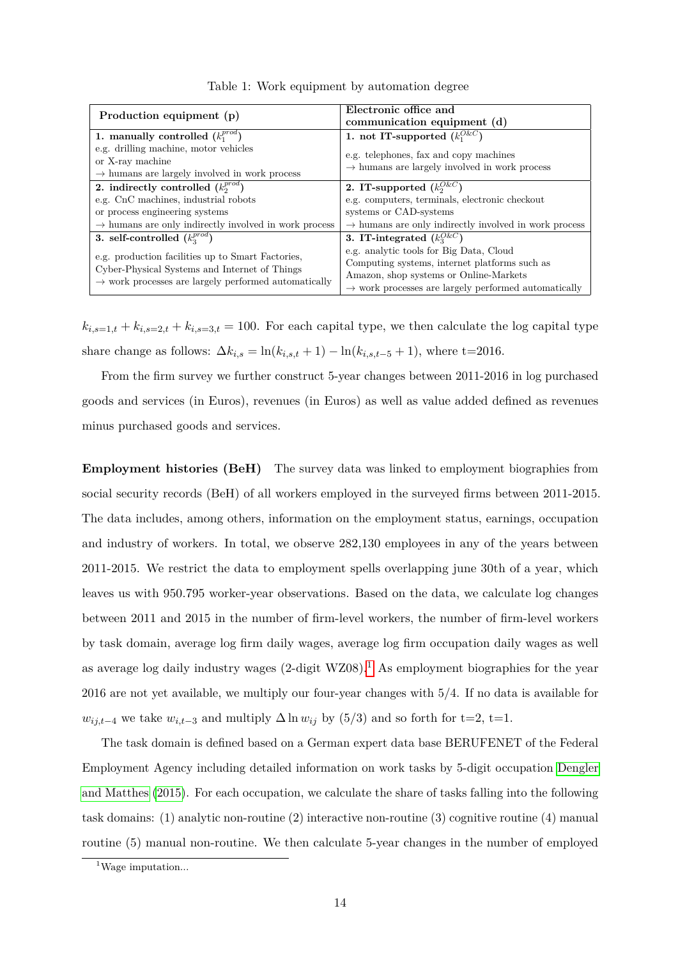| Production equipment (p)                                          | Electronic office and<br>communication equipment (d)                                                                                                        |  |  |
|-------------------------------------------------------------------|-------------------------------------------------------------------------------------------------------------------------------------------------------------|--|--|
| 1. manually controlled $(k_1^{prod})$                             | 1. not IT-supported $(k_1^{O\&C})$                                                                                                                          |  |  |
| e.g. drilling machine, motor vehicles                             | e.g. telephones, fax and copy machines                                                                                                                      |  |  |
| or X-ray machine                                                  | $\rightarrow$ humans are largely involved in work process                                                                                                   |  |  |
| $\rightarrow$ humans are largely involved in work process         |                                                                                                                                                             |  |  |
| 2. indirectly controlled $(k_2^{prod})$                           | 2. IT-supported $(k_2^{O\&C})$                                                                                                                              |  |  |
| e.g. CnC machines, industrial robots                              | e.g. computers, terminals, electronic checkout                                                                                                              |  |  |
| or process engineering systems                                    | systems or CAD-systems                                                                                                                                      |  |  |
| $\rightarrow$ humans are only indirectly involved in work process | $\rightarrow$ humans are only indirectly involved in work process                                                                                           |  |  |
| 3. self-controlled $(k_3^{prod})$                                 | 3. IT-integrated $(k_3^{Q\&C})$                                                                                                                             |  |  |
|                                                                   | e.g. analytic tools for Big Data, Cloud                                                                                                                     |  |  |
| e.g. production facilities up to Smart Factories,                 | Computing systems, internet platforms such as<br>Amazon, shop systems or Online-Markets<br>$\rightarrow$ work processes are largely performed automatically |  |  |
| Cyber-Physical Systems and Internet of Things                     |                                                                                                                                                             |  |  |
| $\rightarrow$ work processes are largely performed automatically  |                                                                                                                                                             |  |  |

<span id="page-14-0"></span>Table 1: Work equipment by automation degree

 $k_{i,s=1,t} + k_{i,s=2,t} + k_{i,s=3,t} = 100$ . For each capital type, we then calculate the log capital type share change as follows:  $\Delta k_{i,s} = \ln(k_{i,s,t} + 1) - \ln(k_{i,s,t-5} + 1)$ , where t=2016.

From the firm survey we further construct 5-year changes between 2011-2016 in log purchased goods and services (in Euros), revenues (in Euros) as well as value added defined as revenues minus purchased goods and services.

**Employment histories (BeH)** The survey data was linked to employment biographies from social security records (BeH) of all workers employed in the surveyed firms between 2011-2015. The data includes, among others, information on the employment status, earnings, occupation and industry of workers. In total, we observe 282,130 employees in any of the years between 2011-2015. We restrict the data to employment spells overlapping june 30th of a year, which leaves us with 950.795 worker-year observations. Based on the data, we calculate log changes between 2011 and 2015 in the number of firm-level workers, the number of firm-level workers by task domain, average log firm daily wages, average log firm occupation daily wages as well as average log daily industry wages  $(2$ -digit WZ08).<sup>[1](#page-14-1)</sup> As employment biographies for the year 2016 are not yet available, we multiply our four-year changes with 5/4. If no data is available for *w*<sub>*ij*,*t*−4 we take  $w_{i,t-3}$  and multiply  $\Delta \ln w_{ij}$  by (5/3) and so forth for t=2, t=1.</sub>

The task domain is defined based on a German expert data base BERUFENET of the Federal Employment Agency including detailed information on work tasks by 5-digit occupation [Dengler](#page-31-10) [and Matthes](#page-31-10) [\(2015\)](#page-31-10). For each occupation, we calculate the share of tasks falling into the following task domains: (1) analytic non-routine (2) interactive non-routine (3) cognitive routine (4) manual routine (5) manual non-routine. We then calculate 5-year changes in the number of employed

<span id="page-14-1"></span><sup>&</sup>lt;sup>1</sup>Wage imputation...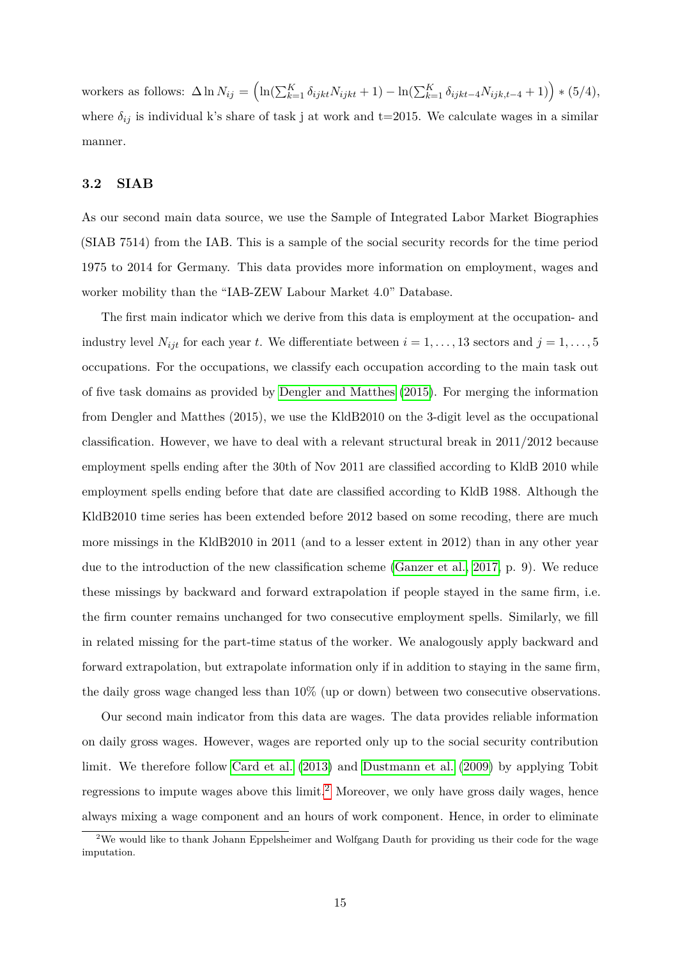workers as follows: Δ ln  $N_{ij} = (\ln(\sum_{k=1}^{K} \delta_{ijkt} N_{ijkt} + 1) - \ln(\sum_{k=1}^{K} \delta_{ijkt-4} N_{ijk,t-4} + 1))$  \* (5/4), where  $\delta_{ij}$  is individual k's share of task j at work and t=2015. We calculate wages in a similar manner.

## <span id="page-15-1"></span>**3.2 SIAB**

As our second main data source, we use the Sample of Integrated Labor Market Biographies (SIAB 7514) from the IAB. This is a sample of the social security records for the time period 1975 to 2014 for Germany. This data provides more information on employment, wages and worker mobility than the "IAB-ZEW Labour Market 4.0" Database.

The first main indicator which we derive from this data is employment at the occupation- and industry level  $N_{ijt}$  for each year *t*. We differentiate between  $i = 1, \ldots, 13$  sectors and  $j = 1, \ldots, 5$ occupations. For the occupations, we classify each occupation according to the main task out of five task domains as provided by [Dengler and Matthes](#page-31-10) [\(2015\)](#page-31-10). For merging the information from Dengler and Matthes (2015), we use the KldB2010 on the 3-digit level as the occupational classification. However, we have to deal with a relevant structural break in 2011/2012 because employment spells ending after the 30th of Nov 2011 are classified according to KldB 2010 while employment spells ending before that date are classified according to KldB 1988. Although the KldB2010 time series has been extended before 2012 based on some recoding, there are much more missings in the KldB2010 in 2011 (and to a lesser extent in 2012) than in any other year due to the introduction of the new classification scheme [\(Ganzer et al., 2017,](#page-32-4) p. 9). We reduce these missings by backward and forward extrapolation if people stayed in the same firm, i.e. the firm counter remains unchanged for two consecutive employment spells. Similarly, we fill in related missing for the part-time status of the worker. We analogously apply backward and forward extrapolation, but extrapolate information only if in addition to staying in the same firm, the daily gross wage changed less than 10% (up or down) between two consecutive observations.

Our second main indicator from this data are wages. The data provides reliable information on daily gross wages. However, wages are reported only up to the social security contribution limit. We therefore follow [Card et al.](#page-31-11) [\(2013\)](#page-31-11) and [Dustmann et al.](#page-31-12) [\(2009\)](#page-31-12) by applying Tobit regressions to impute wages above this limit.<sup>[2](#page-15-0)</sup> Moreover, we only have gross daily wages, hence always mixing a wage component and an hours of work component. Hence, in order to eliminate

<span id="page-15-0"></span> $2$ We would like to thank Johann Eppelsheimer and Wolfgang Dauth for providing us their code for the wage imputation.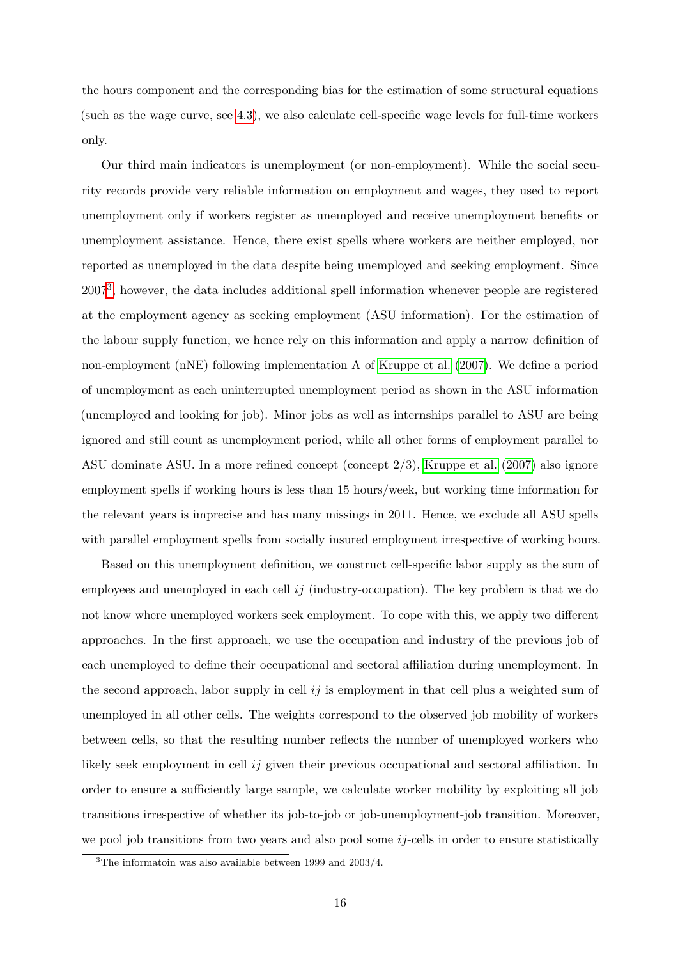the hours component and the corresponding bias for the estimation of some structural equations (such as the wage curve, see [4.3\)](#page-21-0), we also calculate cell-specific wage levels for full-time workers only.

Our third main indicators is unemployment (or non-employment). While the social security records provide very reliable information on employment and wages, they used to report unemployment only if workers register as unemployed and receive unemployment benefits or unemployment assistance. Hence, there exist spells where workers are neither employed, nor reported as unemployed in the data despite being unemployed and seeking employment. Since 2007<sup>[3](#page-16-0)</sup>, however, the data includes additional spell information whenever people are registered at the employment agency as seeking employment (ASU information). For the estimation of the labour supply function, we hence rely on this information and apply a narrow definition of non-employment (nNE) following implementation A of [Kruppe et al.](#page-32-5) [\(2007\)](#page-32-5). We define a period of unemployment as each uninterrupted unemployment period as shown in the ASU information (unemployed and looking for job). Minor jobs as well as internships parallel to ASU are being ignored and still count as unemployment period, while all other forms of employment parallel to ASU dominate ASU. In a more refined concept (concept 2/3), [Kruppe et al.](#page-32-5) [\(2007\)](#page-32-5) also ignore employment spells if working hours is less than 15 hours/week, but working time information for the relevant years is imprecise and has many missings in 2011. Hence, we exclude all ASU spells with parallel employment spells from socially insured employment irrespective of working hours.

Based on this unemployment definition, we construct cell-specific labor supply as the sum of employees and unemployed in each cell *ij* (industry-occupation). The key problem is that we do not know where unemployed workers seek employment. To cope with this, we apply two different approaches. In the first approach, we use the occupation and industry of the previous job of each unemployed to define their occupational and sectoral affiliation during unemployment. In the second approach, labor supply in cell *ij* is employment in that cell plus a weighted sum of unemployed in all other cells. The weights correspond to the observed job mobility of workers between cells, so that the resulting number reflects the number of unemployed workers who likely seek employment in cell *ij* given their previous occupational and sectoral affiliation. In order to ensure a sufficiently large sample, we calculate worker mobility by exploiting all job transitions irrespective of whether its job-to-job or job-unemployment-job transition. Moreover, we pool job transitions from two years and also pool some *ij*-cells in order to ensure statistically

<span id="page-16-0"></span> $3$ The informatoin was also available between 1999 and 2003/4.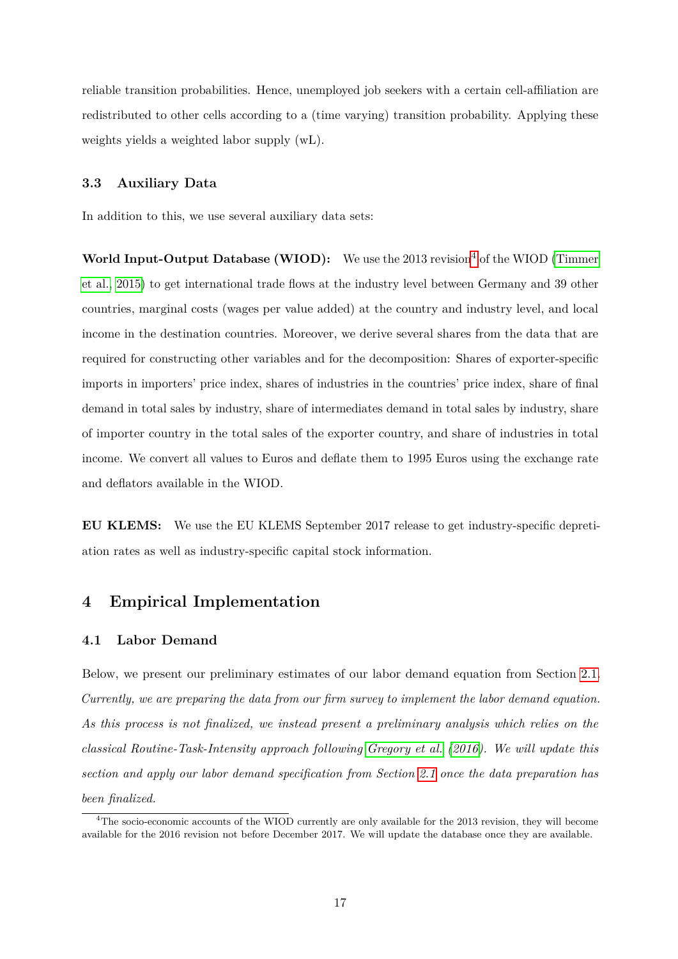reliable transition probabilities. Hence, unemployed job seekers with a certain cell-affiliation are redistributed to other cells according to a (time varying) transition probability. Applying these weights yields a weighted labor supply (wL).

## **3.3 Auxiliary Data**

In addition to this, we use several auxiliary data sets:

**World Input-Output Database (WIOD):** We use the 2013 revision<sup>[4](#page-17-1)</sup> of the WIOD [\(Timmer](#page-32-6) [et al., 2015\)](#page-32-6) to get international trade flows at the industry level between Germany and 39 other countries, marginal costs (wages per value added) at the country and industry level, and local income in the destination countries. Moreover, we derive several shares from the data that are required for constructing other variables and for the decomposition: Shares of exporter-specific imports in importers' price index, shares of industries in the countries' price index, share of final demand in total sales by industry, share of intermediates demand in total sales by industry, share of importer country in the total sales of the exporter country, and share of industries in total income. We convert all values to Euros and deflate them to 1995 Euros using the exchange rate and deflators available in the WIOD.

**EU KLEMS:** We use the EU KLEMS September 2017 release to get industry-specific depretiation rates as well as industry-specific capital stock information.

# <span id="page-17-0"></span>**4 Empirical Implementation**

## **4.1 Labor Demand**

Below, we present our preliminary estimates of our labor demand equation from Section [2.1.](#page-4-1) *Currently, we are preparing the data from our firm survey to implement the labor demand equation. As this process is not finalized, we instead present a preliminary analysis which relies on the classical Routine-Task-Intensity approach following [Gregory et al.](#page-32-2) [\(2016\)](#page-32-2). We will update this section and apply our labor demand specification from Section [2.1](#page-4-1) once the data preparation has been finalized.*

<span id="page-17-1"></span><sup>4</sup>The socio-economic accounts of the WIOD currently are only available for the 2013 revision, they will become available for the 2016 revision not before December 2017. We will update the database once they are available.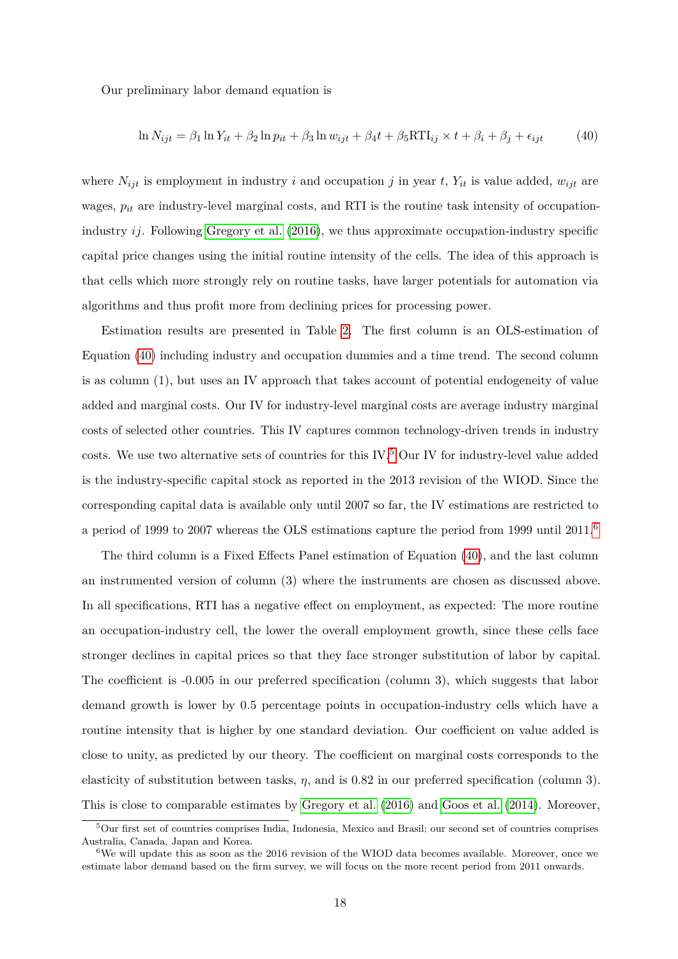Our preliminary labor demand equation is

<span id="page-18-0"></span>
$$
\ln N_{ijt} = \beta_1 \ln Y_{it} + \beta_2 \ln p_{it} + \beta_3 \ln w_{ijt} + \beta_4 t + \beta_5 RTI_{ij} \times t + \beta_i + \beta_j + \epsilon_{ijt}
$$
(40)

where  $N_{ijt}$  is employment in industry *i* and occupation *j* in year *t*,  $Y_{it}$  is value added,  $w_{ijt}$  are wages,  $p_{it}$  are industry-level marginal costs, and RTI is the routine task intensity of occupationindustry *ij*. Following [Gregory et al.](#page-32-2) [\(2016\)](#page-32-2), we thus approximate occupation-industry specific capital price changes using the initial routine intensity of the cells. The idea of this approach is that cells which more strongly rely on routine tasks, have larger potentials for automation via algorithms and thus profit more from declining prices for processing power.

Estimation results are presented in Table [2.](#page-19-0) The first column is an OLS-estimation of Equation [\(40\)](#page-18-0) including industry and occupation dummies and a time trend. The second column is as column (1), but uses an IV approach that takes account of potential endogeneity of value added and marginal costs. Our IV for industry-level marginal costs are average industry marginal costs of selected other countries. This IV captures common technology-driven trends in industry costs. We use two alternative sets of countries for this IV.[5](#page-18-1) Our IV for industry-level value added is the industry-specific capital stock as reported in the 2013 revision of the WIOD. Since the corresponding capital data is available only until 2007 so far, the IV estimations are restricted to a period of 1999 to 2007 whereas the OLS estimations capture the period from 1999 until  $2011<sup>6</sup>$  $2011<sup>6</sup>$  $2011<sup>6</sup>$ 

The third column is a Fixed Effects Panel estimation of Equation [\(40\)](#page-18-0), and the last column an instrumented version of column (3) where the instruments are chosen as discussed above. In all specifications, RTI has a negative effect on employment, as expected: The more routine an occupation-industry cell, the lower the overall employment growth, since these cells face stronger declines in capital prices so that they face stronger substitution of labor by capital. The coefficient is -0.005 in our preferred specification (column 3), which suggests that labor demand growth is lower by 0.5 percentage points in occupation-industry cells which have a routine intensity that is higher by one standard deviation. Our coefficient on value added is close to unity, as predicted by our theory. The coefficient on marginal costs corresponds to the elasticity of substitution between tasks, *η*, and is 0.82 in our preferred specification (column 3). This is close to comparable estimates by [Gregory et al.](#page-32-2) [\(2016\)](#page-32-2) and [Goos et al.](#page-32-3) [\(2014\)](#page-32-3). Moreover,

<span id="page-18-1"></span><sup>&</sup>lt;sup>5</sup>Our first set of countries comprises India, Indonesia, Mexico and Brasil; our second set of countries comprises Australia, Canada, Japan and Korea.

<span id="page-18-2"></span> $6$ We will update this as soon as the 2016 revision of the WIOD data becomes available. Moreover, once we estimate labor demand based on the firm survey, we will focus on the more recent period from 2011 onwards.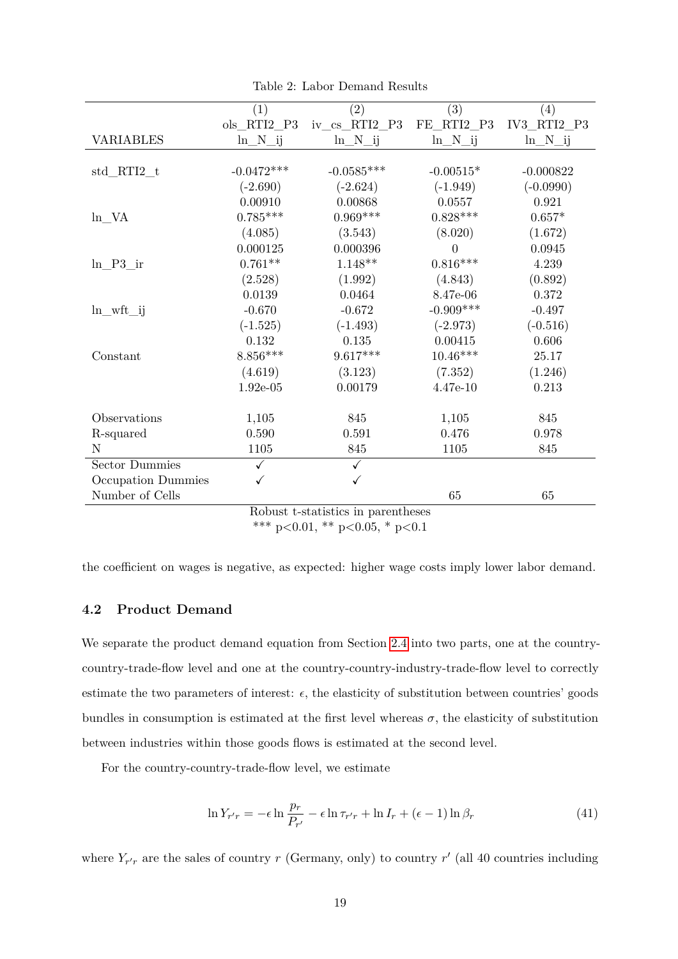|                                    | (1)          | $\left( 2\right)$              | (3)          | (4)                         |  |  |
|------------------------------------|--------------|--------------------------------|--------------|-----------------------------|--|--|
|                                    | ols RTI2 P3  | $iv_{cs}$ <sub>RTI2</sub> $P3$ | $FE_RTI2_P3$ | $IV3$ <sub>_RTI2</sub> $P3$ |  |  |
|                                    |              |                                |              |                             |  |  |
| <b>VARIABLES</b>                   | $ln_N$ _ij   | $ln_N$ _ij                     | $ln_N$ _ij   | $ln_N$ _ij                  |  |  |
|                                    |              |                                |              |                             |  |  |
| $std_RTI2_t$                       | $-0.0472***$ | $-0.0585***$                   | $-0.00515*$  | $-0.000822$                 |  |  |
|                                    | $(-2.690)$   | $(-2.624)$                     | $(-1.949)$   | $(-0.0990)$                 |  |  |
|                                    | 0.00910      | 0.00868                        | 0.0557       | 0.921                       |  |  |
| $ln_N-VA$                          | $0.785***$   | $0.969***$                     | $0.828***$   | $0.657*$                    |  |  |
|                                    | (4.085)      | (3.543)                        | (8.020)      | (1.672)                     |  |  |
|                                    | 0.000125     | 0.000396                       | $\Omega$     | 0.0945                      |  |  |
| ln P3 ir                           | $0.761**$    | $1.148**$                      | $0.816***$   | 4.239                       |  |  |
|                                    | (2.528)      | (1.992)                        | (4.843)      | (0.892)                     |  |  |
|                                    | 0.0139       | 0.0464                         | 8.47e-06     | 0.372                       |  |  |
| $ln\_wft\_ij$                      | $-0.670$     | $-0.672$                       | $-0.909***$  | $-0.497$                    |  |  |
|                                    | $(-1.525)$   | $(-1.493)$                     | $(-2.973)$   | $(-0.516)$                  |  |  |
|                                    | 0.132        | 0.135                          | 0.00415      | 0.606                       |  |  |
| Constant                           | $8.856***$   | $9.617***$                     | $10.46***$   | 25.17                       |  |  |
|                                    | (4.619)      | (3.123)                        | (7.352)      | (1.246)                     |  |  |
|                                    | $1.92e-05$   | 0.00179                        | $4.47e-10$   | 0.213                       |  |  |
|                                    |              |                                |              |                             |  |  |
| Observations                       | 1,105        | 845                            | 1,105        | 845                         |  |  |
| R-squared                          | 0.590        | 0.591                          | 0.476        | 0.978                       |  |  |
| N                                  | 1105         | 845                            | 1105         | 845                         |  |  |
| <b>Sector Dummies</b>              | ✓            |                                |              |                             |  |  |
| Occupation Dummies                 |              |                                |              |                             |  |  |
| Number of Cells                    |              |                                | 65           | 65                          |  |  |
| Robust t-statistics in parentheses |              |                                |              |                             |  |  |

<span id="page-19-0"></span>Table 2: Labor Demand Results

Robust t-statistics in parentheses \*\*\* p*<*0.01, \*\* p*<*0.05, \* p*<*0.1

the coefficient on wages is negative, as expected: higher wage costs imply lower labor demand.

# **4.2 Product Demand**

We separate the product demand equation from Section [2.4](#page-7-0) into two parts, one at the countrycountry-trade-flow level and one at the country-country-industry-trade-flow level to correctly estimate the two parameters of interest:  $\epsilon$ , the elasticity of substitution between countries' goods bundles in consumption is estimated at the first level whereas  $\sigma$ , the elasticity of substitution between industries within those goods flows is estimated at the second level.

For the country-country-trade-flow level, we estimate

$$
\ln Y_{r'r} = -\epsilon \ln \frac{p_r}{P_{r'}} - \epsilon \ln \tau_{r'r} + \ln I_r + (\epsilon - 1) \ln \beta_r \tag{41}
$$

where  $Y_{r'r}$  are the sales of country *r* (Germany, only) to country *r'* (all 40 countries including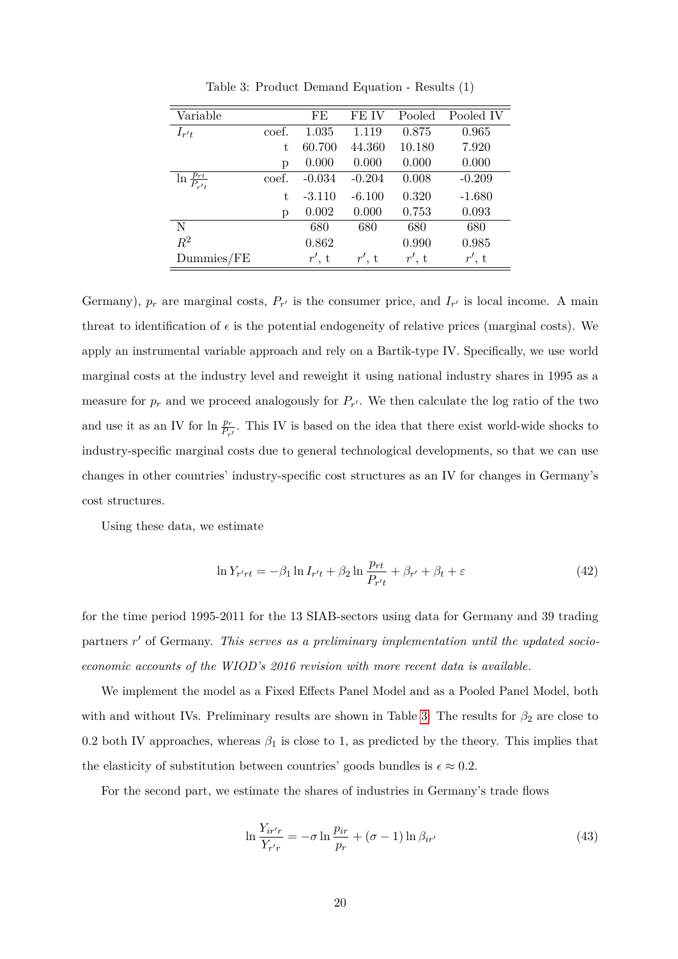| Variable                        |       | FE       | FE IV    | Pooled   | Pooled IV |
|---------------------------------|-------|----------|----------|----------|-----------|
| $I_{r't}$                       | coef. | 1.035    | 1.119    | 0.875    | 0.965     |
|                                 | t     | 60.700   | 44.360   | 10.180   | 7.920     |
|                                 | р     | 0.000    | 0.000    | 0.000    | 0.000     |
| $\frac{p_{rt}}{P_{r't}}$<br>ln. | coef. | $-0.034$ | $-0.204$ | 0.008    | $-0.209$  |
|                                 | t.    | $-3.110$ | $-6.100$ | 0.320    | $-1.680$  |
|                                 | р     | 0.002    | 0.000    | 0.753    | 0.093     |
| N                               |       | 680      | 680      | 680      | 680       |
| $R^2$                           |       | 0.862    |          | 0.990    | 0.985     |
| $D$ ummies/FE                   |       | $r'$ , t | r', t    | $r'$ , t | $r'$ , t  |

<span id="page-20-0"></span>Table 3: Product Demand Equation - Results (1)

Germany),  $p_r$  are marginal costs,  $P_{r'}$  is the consumer price, and  $I_{r'}$  is local income. A main threat to identification of  $\epsilon$  is the potential endogeneity of relative prices (marginal costs). We apply an instrumental variable approach and rely on a Bartik-type IV. Specifically, we use world marginal costs at the industry level and reweight it using national industry shares in 1995 as a measure for  $p_r$  and we proceed analogously for  $P_{r'}$ . We then calculate the log ratio of the two and use it as an IV for  $\ln \frac{p_r}{P_{r'}}$ . This IV is based on the idea that there exist world-wide shocks to industry-specific marginal costs due to general technological developments, so that we can use changes in other countries' industry-specific cost structures as an IV for changes in Germany's cost structures.

Using these data, we estimate

$$
\ln Y_{r'rt} = -\beta_1 \ln I_{r't} + \beta_2 \ln \frac{p_{rt}}{P_{r't}} + \beta_{r'} + \beta_t + \varepsilon
$$
\n(42)

for the time period 1995-2011 for the 13 SIAB-sectors using data for Germany and 39 trading partners r' of Germany. This serves as a preliminary implementation until the updated socio*economic accounts of the WIOD's 2016 revision with more recent data is available.*

We implement the model as a Fixed Effects Panel Model and as a Pooled Panel Model, both with and without IVs. Preliminary results are shown in Table [3.](#page-20-0) The results for  $\beta_2$  are close to 0.2 both IV approaches, whereas  $\beta_1$  is close to 1, as predicted by the theory. This implies that the elasticity of substitution between countries' goods bundles is  $\epsilon \approx 0.2$ .

For the second part, we estimate the shares of industries in Germany's trade flows

$$
\ln \frac{Y_{ir'r}}{Y_{r'r}} = -\sigma \ln \frac{p_{ir}}{p_r} + (\sigma - 1) \ln \beta_{ir'}
$$
\n(43)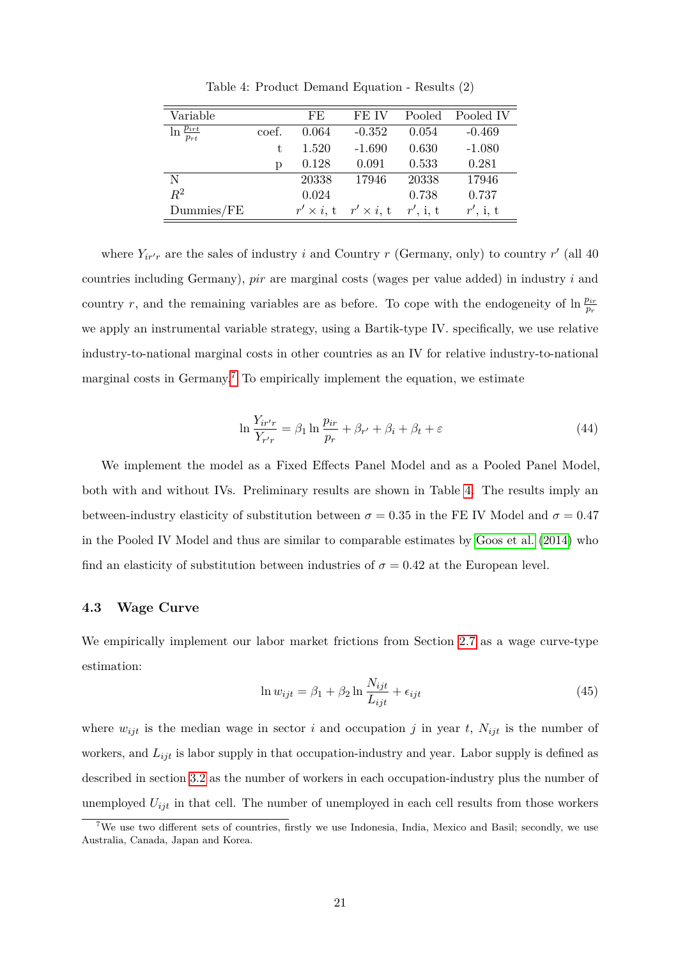| Variable                     |       | FE                | FE IV             | Pooled      | Pooled IV |
|------------------------------|-------|-------------------|-------------------|-------------|-----------|
| $\ln \frac{p_{irt}}{p_{rt}}$ | coef. | 0.064             | $-0.352$          | 0.054       | $-0.469$  |
|                              | t.    | 1.520             | $-1.690$          | 0.630       | $-1.080$  |
|                              | р     | 0.128             | 0.091             | 0.533       | 0.281     |
| N                            |       | 20338             | 17946             | 20338       | 17946     |
| $R^2$                        |       | 0.024             |                   | 0.738       | 0.737     |
| $D$ ummies/ $FE$             |       | $r' \times i$ , t | $r' \times i$ , t | $r'$ , i, t | r', i, t  |

<span id="page-21-2"></span>Table 4: Product Demand Equation - Results (2)

where  $Y_{ir'r}$  are the sales of industry *i* and Country *r* (Germany, only) to country *r'* (all 40) countries including Germany), *pir* are marginal costs (wages per value added) in industry *i* and country *r*, and the remaining variables are as before. To cope with the endogeneity of  $\ln \frac{p_{ir}}{p_r}$ we apply an instrumental variable strategy, using a Bartik-type IV. specifically, we use relative industry-to-national marginal costs in other countries as an IV for relative industry-to-national marginal costs in Germany.<sup>[7](#page-21-1)</sup> To empirically implement the equation, we estimate

$$
\ln \frac{Y_{ir'r}}{Y_{r'r}} = \beta_1 \ln \frac{p_{ir}}{p_r} + \beta_{r'} + \beta_i + \beta_t + \varepsilon \tag{44}
$$

We implement the model as a Fixed Effects Panel Model and as a Pooled Panel Model, both with and without IVs. Preliminary results are shown in Table [4.](#page-21-2) The results imply an between-industry elasticity of substitution between  $\sigma = 0.35$  in the FE IV Model and  $\sigma = 0.47$ in the Pooled IV Model and thus are similar to comparable estimates by [Goos et al.](#page-32-3) [\(2014\)](#page-32-3) who find an elasticity of substitution between industries of  $\sigma = 0.42$  at the European level.

#### <span id="page-21-0"></span>**4.3 Wage Curve**

We empirically implement our labor market frictions from Section [2.7](#page-9-0) as a wage curve-type estimation:

<span id="page-21-3"></span>
$$
\ln w_{ijt} = \beta_1 + \beta_2 \ln \frac{N_{ijt}}{L_{ijt}} + \epsilon_{ijt}
$$
\n(45)

where  $w_{ijt}$  is the median wage in sector *i* and occupation *j* in year *t*,  $N_{ijt}$  is the number of workers, and *Lijt* is labor supply in that occupation-industry and year. Labor supply is defined as described in section [3.2](#page-15-1) as the number of workers in each occupation-industry plus the number of unemployed  $U_{i}$  in that cell. The number of unemployed in each cell results from those workers

<span id="page-21-1"></span><sup>&</sup>lt;sup>7</sup>We use two different sets of countries, firstly we use Indonesia, India, Mexico and Basil; secondly, we use Australia, Canada, Japan and Korea.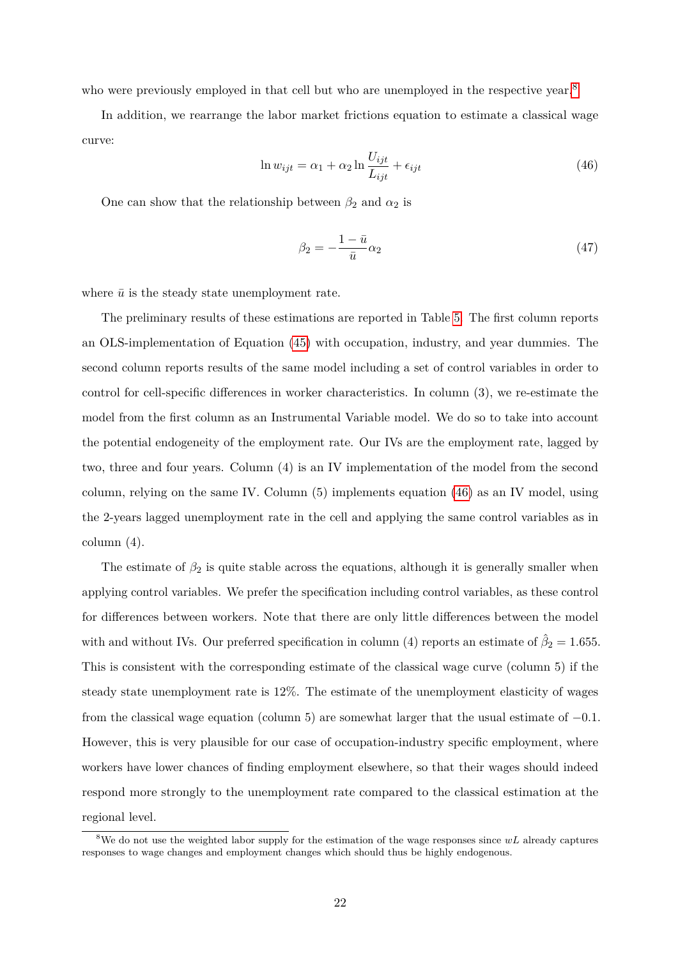who were previously employed in that cell but who are unemployed in the respective year.<sup>[8](#page-22-0)</sup>

In addition, we rearrange the labor market frictions equation to estimate a classical wage curve:

<span id="page-22-1"></span>
$$
\ln w_{ijt} = \alpha_1 + \alpha_2 \ln \frac{U_{ijt}}{L_{ijt}} + \epsilon_{ijt}
$$
\n(46)

One can show that the relationship between  $\beta_2$  and  $\alpha_2$  is

$$
\beta_2 = -\frac{1-\bar{u}}{\bar{u}}\alpha_2\tag{47}
$$

where  $\bar{u}$  is the steady state unemployment rate.

The preliminary results of these estimations are reported in Table [5.](#page-23-0) The first column reports an OLS-implementation of Equation [\(45\)](#page-21-3) with occupation, industry, and year dummies. The second column reports results of the same model including a set of control variables in order to control for cell-specific differences in worker characteristics. In column (3), we re-estimate the model from the first column as an Instrumental Variable model. We do so to take into account the potential endogeneity of the employment rate. Our IVs are the employment rate, lagged by two, three and four years. Column (4) is an IV implementation of the model from the second column, relying on the same IV. Column (5) implements equation [\(46\)](#page-22-1) as an IV model, using the 2-years lagged unemployment rate in the cell and applying the same control variables as in column (4).

The estimate of  $\beta_2$  is quite stable across the equations, although it is generally smaller when applying control variables. We prefer the specification including control variables, as these control for differences between workers. Note that there are only little differences between the model with and without IVs. Our preferred specification in column (4) reports an estimate of  $\hat{\beta}_2 = 1.655$ . This is consistent with the corresponding estimate of the classical wage curve (column 5) if the steady state unemployment rate is 12%. The estimate of the unemployment elasticity of wages from the classical wage equation (column 5) are somewhat larger that the usual estimate of −0*.*1. However, this is very plausible for our case of occupation-industry specific employment, where workers have lower chances of finding employment elsewhere, so that their wages should indeed respond more strongly to the unemployment rate compared to the classical estimation at the regional level.

<span id="page-22-0"></span><sup>8</sup>We do not use the weighted labor supply for the estimation of the wage responses since *wL* already captures responses to wage changes and employment changes which should thus be highly endogenous.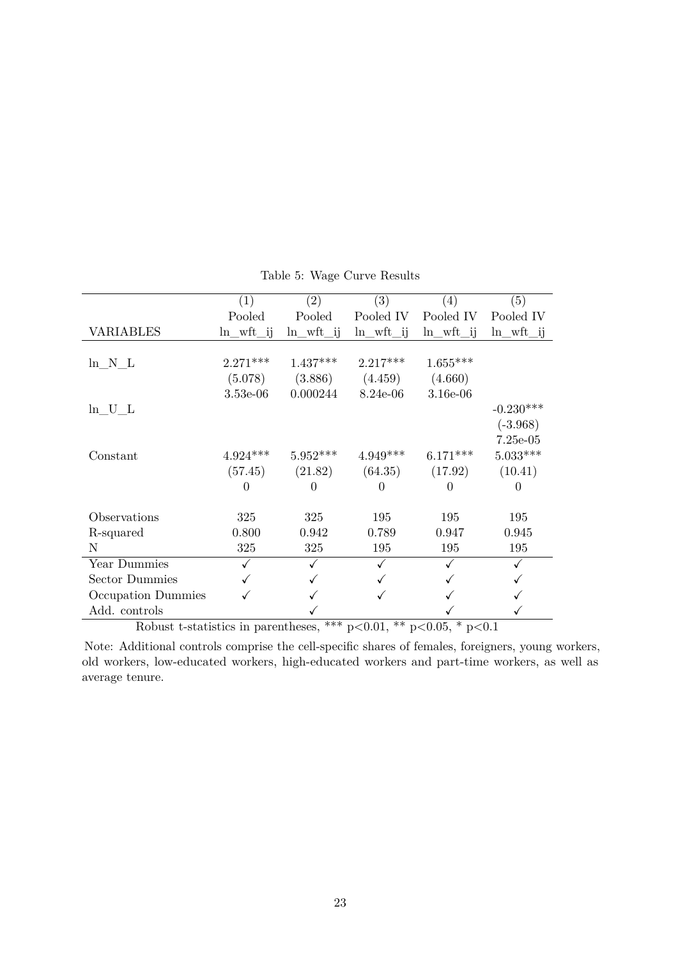|                    | (1)           | $\left( 2\right)$ | (3)           | $\left( 4\right)$ | $\left( 5\right)$ |
|--------------------|---------------|-------------------|---------------|-------------------|-------------------|
|                    | Pooled        | Pooled            | Pooled IV     | Pooled IV         | Pooled IV         |
| <b>VARIABLES</b>   | $ln\_wft\_ij$ | $ln_wft_{ij}$     | $ln\_wft\_ij$ | $ln\_wft\_ij$     | $ln\_wft\_ij$     |
|                    |               |                   |               |                   |                   |
| ln N L             | $2.271***$    | $1.437***$        | $2.217***$    | $1.655***$        |                   |
|                    | (5.078)       | (3.886)           | (4.459)       | (4.660)           |                   |
|                    | $3.53e-06$    | 0.000244          | 8.24e-06      | 3.16e-06          |                   |
| $ln_U_L$           |               |                   |               |                   | $-0.230***$       |
|                    |               |                   |               |                   | $(-3.968)$        |
|                    |               |                   |               |                   | $7.25e-05$        |
| Constant           | $4.924***$    | $5.952***$        | $4.949***$    | $6.171***$        | $5.033***$        |
|                    | (57.45)       | (21.82)           | (64.35)       | (17.92)           | (10.41)           |
|                    | 0             | $\theta$          | $\theta$      | $\Omega$          | $\Omega$          |
|                    |               |                   |               |                   |                   |
| Observations       | 325           | 325               | 195           | 195               | 195               |
| R-squared          | 0.800         | 0.942             | 0.789         | 0.947             | 0.945             |
| N                  | 325           | 325               | 195           | 195               | 195               |
| Year Dummies       |               | ✓                 |               |                   |                   |
| Sector Dummies     |               |                   |               |                   |                   |
| Occupation Dummies |               |                   |               |                   |                   |
| Add. controls      |               |                   |               |                   |                   |

<span id="page-23-0"></span>Table 5: Wage Curve Results

Robust t-statistics in parentheses, \*\*\* p*<*0.01, \*\* p*<*0.05, \* p*<*0.1

Note: Additional controls comprise the cell-specific shares of females, foreigners, young workers, old workers, low-educated workers, high-educated workers and part-time workers, as well as average tenure.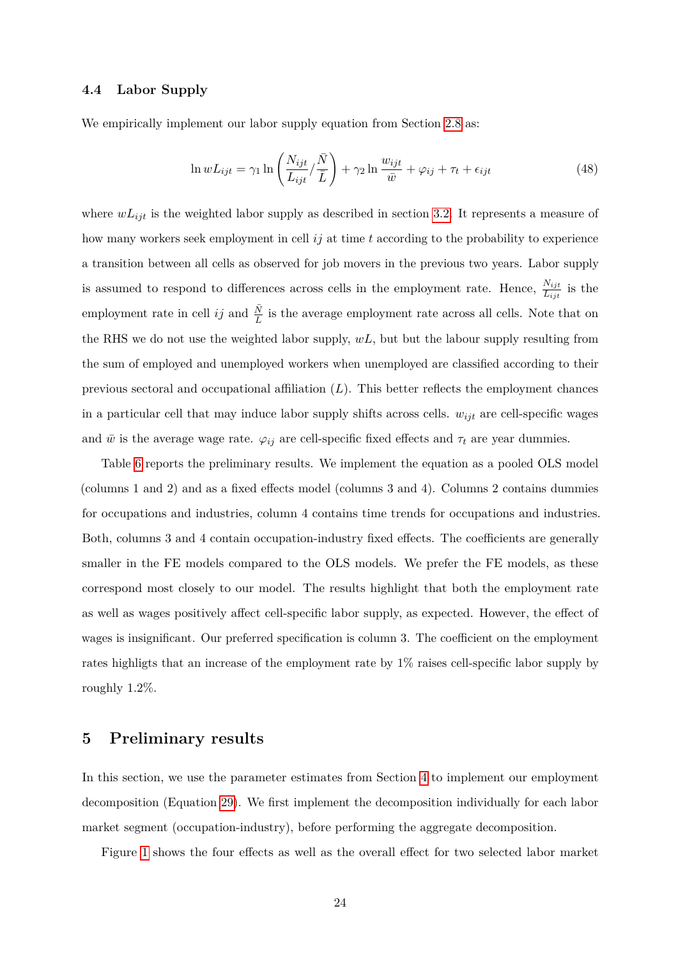#### **4.4 Labor Supply**

We empirically implement our labor supply equation from Section [2.8](#page-10-0) as:

$$
\ln wL_{ijt} = \gamma_1 \ln \left( \frac{N_{ijt}}{L_{ijt}} / \frac{\bar{N}}{\bar{L}} \right) + \gamma_2 \ln \frac{w_{ijt}}{\bar{w}} + \varphi_{ij} + \tau_t + \epsilon_{ijt}
$$
(48)

where  $wL_{ijt}$  is the weighted labor supply as described in section [3.2.](#page-15-1) It represents a measure of how many workers seek employment in cell *ij* at time *t* according to the probability to experience a transition between all cells as observed for job movers in the previous two years. Labor supply is assumed to respond to differences across cells in the employment rate. Hence,  $\frac{N_{ijt}}{L_{ijt}}$  is the employment rate in cell *ij* and  $\frac{\bar{N}}{L}$  is the average employment rate across all cells. Note that on the RHS we do not use the weighted labor supply, *wL*, but but the labour supply resulting from the sum of employed and unemployed workers when unemployed are classified according to their previous sectoral and occupational affiliation (*L*). This better reflects the employment chances in a particular cell that may induce labor supply shifts across cells. *wijt* are cell-specific wages and  $\bar{w}$  is the average wage rate.  $\varphi_{ij}$  are cell-specific fixed effects and  $\tau_t$  are year dummies.

Table [6](#page-25-0) reports the preliminary results. We implement the equation as a pooled OLS model (columns 1 and 2) and as a fixed effects model (columns 3 and 4). Columns 2 contains dummies for occupations and industries, column 4 contains time trends for occupations and industries. Both, columns 3 and 4 contain occupation-industry fixed effects. The coefficients are generally smaller in the FE models compared to the OLS models. We prefer the FE models, as these correspond most closely to our model. The results highlight that both the employment rate as well as wages positively affect cell-specific labor supply, as expected. However, the effect of wages is insignificant. Our preferred specification is column 3. The coefficient on the employment rates highligts that an increase of the employment rate by 1% raises cell-specific labor supply by roughly 1.2%.

# <span id="page-24-0"></span>**5 Preliminary results**

In this section, we use the parameter estimates from Section [4](#page-17-0) to implement our employment decomposition (Equation [29\)](#page-11-0). We first implement the decomposition individually for each labor market segment (occupation-industry), before performing the aggregate decomposition.

Figure [1](#page-26-0) shows the four effects as well as the overall effect for two selected labor market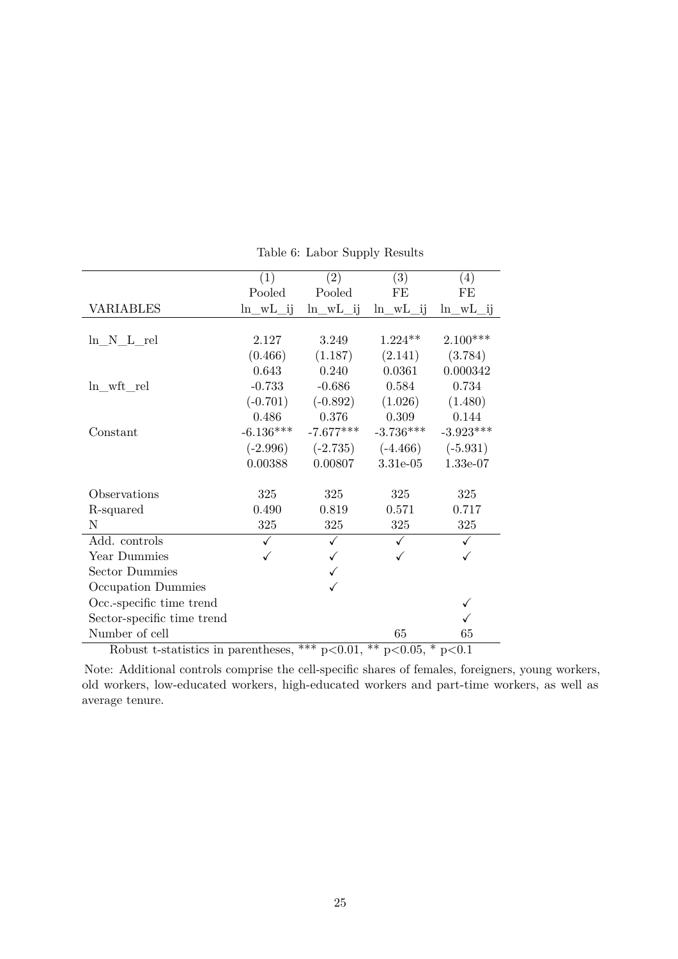|                                                                              | (1)          | (2)          | (3)          | (4)          |  |  |  |
|------------------------------------------------------------------------------|--------------|--------------|--------------|--------------|--|--|--|
|                                                                              | Pooled       | Pooled       | FE           | FE           |  |  |  |
| <b>VARIABLES</b>                                                             | $ln_wL_{ij}$ | $ln_wL_{ij}$ | $ln_wL_{ij}$ | $ln_wL_{ij}$ |  |  |  |
|                                                                              |              |              |              |              |  |  |  |
| $ln N_L$ rel                                                                 | 2.127        | 3.249        | $1.224**$    | $2.100***$   |  |  |  |
|                                                                              | (0.466)      | (1.187)      | (2.141)      | (3.784)      |  |  |  |
|                                                                              | 0.643        | 0.240        | 0.0361       | 0.000342     |  |  |  |
| $ln\_wft\_rel$                                                               | $-0.733$     | $-0.686$     | 0.584        | 0.734        |  |  |  |
|                                                                              | $(-0.701)$   | $(-0.892)$   | (1.026)      | (1.480)      |  |  |  |
|                                                                              | 0.486        | 0.376        | 0.309        | 0.144        |  |  |  |
| Constant                                                                     | $-6.136***$  | $-7.677***$  | $-3.736***$  | $-3.923***$  |  |  |  |
|                                                                              | $(-2.996)$   | $(-2.735)$   | $(-4.466)$   | $(-5.931)$   |  |  |  |
|                                                                              | 0.00388      | 0.00807      | 3.31e-05     | 1.33e-07     |  |  |  |
| Observations                                                                 | 325          | 325          | 325          | 325          |  |  |  |
| R-squared                                                                    | 0.490        | 0.819        | 0.571        | 0.717        |  |  |  |
| N                                                                            | 325          | 325          | 325          | 325          |  |  |  |
| Add. controls                                                                | ✓            |              |              | $\checkmark$ |  |  |  |
| Year Dummies                                                                 |              |              |              |              |  |  |  |
| <b>Sector Dummies</b>                                                        |              |              |              |              |  |  |  |
| Occupation Dummies                                                           |              | ✓            |              |              |  |  |  |
| Occ.-specific time trend                                                     |              |              |              | ✓            |  |  |  |
| Sector-specific time trend                                                   |              |              |              |              |  |  |  |
| Number of cell                                                               |              |              | 65           | 65           |  |  |  |
| Robust t-statistics in parentheses $*** n<0.01$<br>** $n < 0.05$ * $n < 0.1$ |              |              |              |              |  |  |  |

<span id="page-25-0"></span>Table 6: Labor Supply Results

Robust t-statistics in parentheses, \*\*\* p*<*0.01, \*\* p*<*0.05, \* p*<*0.1

Note: Additional controls comprise the cell-specific shares of females, foreigners, young workers, old workers, low-educated workers, high-educated workers and part-time workers, as well as average tenure.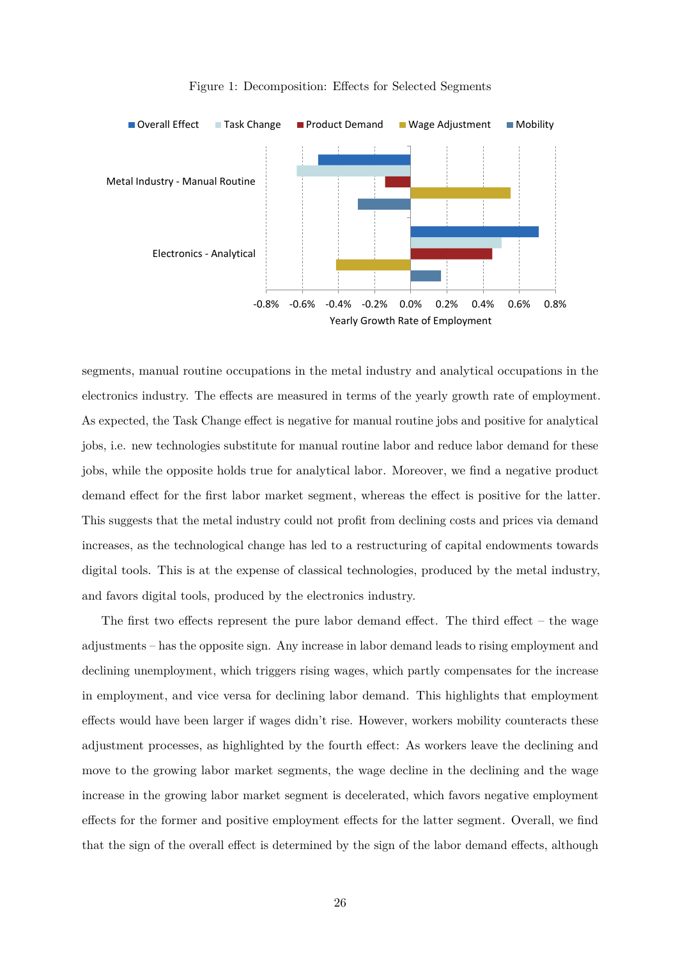

<span id="page-26-0"></span>Figure 1: Decomposition: Effects for Selected Segments

segments, manual routine occupations in the metal industry and analytical occupations in the electronics industry. The effects are measured in terms of the yearly growth rate of employment. As expected, the Task Change effect is negative for manual routine jobs and positive for analytical jobs, i.e. new technologies substitute for manual routine labor and reduce labor demand for these jobs, while the opposite holds true for analytical labor. Moreover, we find a negative product demand effect for the first labor market segment, whereas the effect is positive for the latter. This suggests that the metal industry could not profit from declining costs and prices via demand increases, as the technological change has led to a restructuring of capital endowments towards digital tools. This is at the expense of classical technologies, produced by the metal industry, and favors digital tools, produced by the electronics industry.

The first two effects represent the pure labor demand effect. The third effect – the wage adjustments – has the opposite sign. Any increase in labor demand leads to rising employment and declining unemployment, which triggers rising wages, which partly compensates for the increase in employment, and vice versa for declining labor demand. This highlights that employment effects would have been larger if wages didn't rise. However, workers mobility counteracts these adjustment processes, as highlighted by the fourth effect: As workers leave the declining and move to the growing labor market segments, the wage decline in the declining and the wage increase in the growing labor market segment is decelerated, which favors negative employment effects for the former and positive employment effects for the latter segment. Overall, we find that the sign of the overall effect is determined by the sign of the labor demand effects, although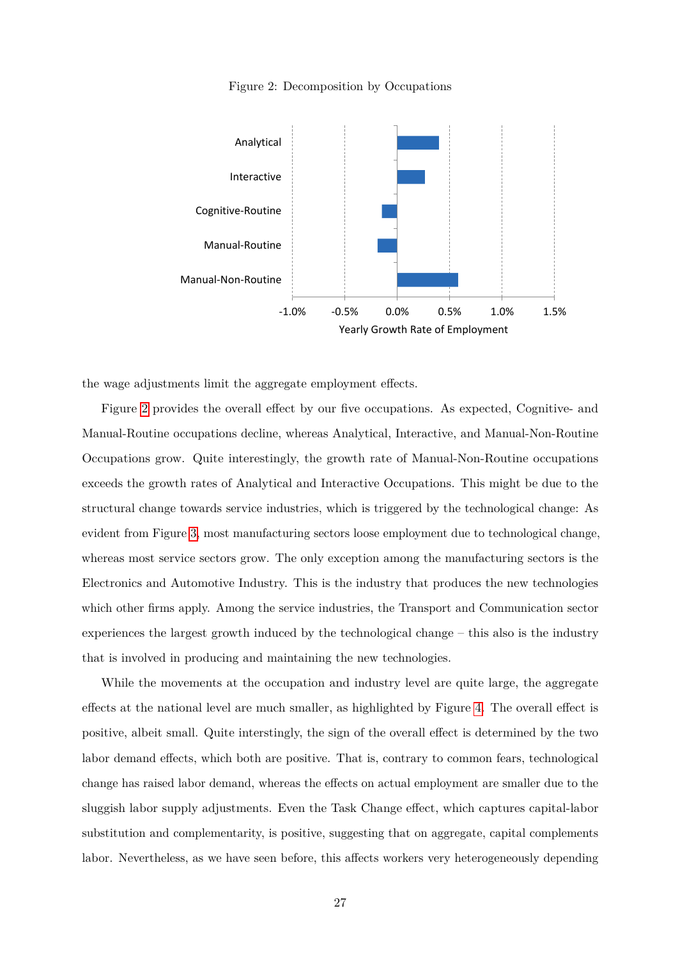<span id="page-27-0"></span>



the wage adjustments limit the aggregate employment effects.

Figure [2](#page-27-0) provides the overall effect by our five occupations. As expected, Cognitive- and Manual-Routine occupations decline, whereas Analytical, Interactive, and Manual-Non-Routine Occupations grow. Quite interestingly, the growth rate of Manual-Non-Routine occupations exceeds the growth rates of Analytical and Interactive Occupations. This might be due to the structural change towards service industries, which is triggered by the technological change: As evident from Figure [3,](#page-28-0) most manufacturing sectors loose employment due to technological change, whereas most service sectors grow. The only exception among the manufacturing sectors is the Electronics and Automotive Industry. This is the industry that produces the new technologies which other firms apply. Among the service industries, the Transport and Communication sector experiences the largest growth induced by the technological change – this also is the industry that is involved in producing and maintaining the new technologies.

While the movements at the occupation and industry level are quite large, the aggregate effects at the national level are much smaller, as highlighted by Figure [4.](#page-28-1) The overall effect is positive, albeit small. Quite interstingly, the sign of the overall effect is determined by the two labor demand effects, which both are positive. That is, contrary to common fears, technological change has raised labor demand, whereas the effects on actual employment are smaller due to the sluggish labor supply adjustments. Even the Task Change effect, which captures capital-labor substitution and complementarity, is positive, suggesting that on aggregate, capital complements labor. Nevertheless, as we have seen before, this affects workers very heterogeneously depending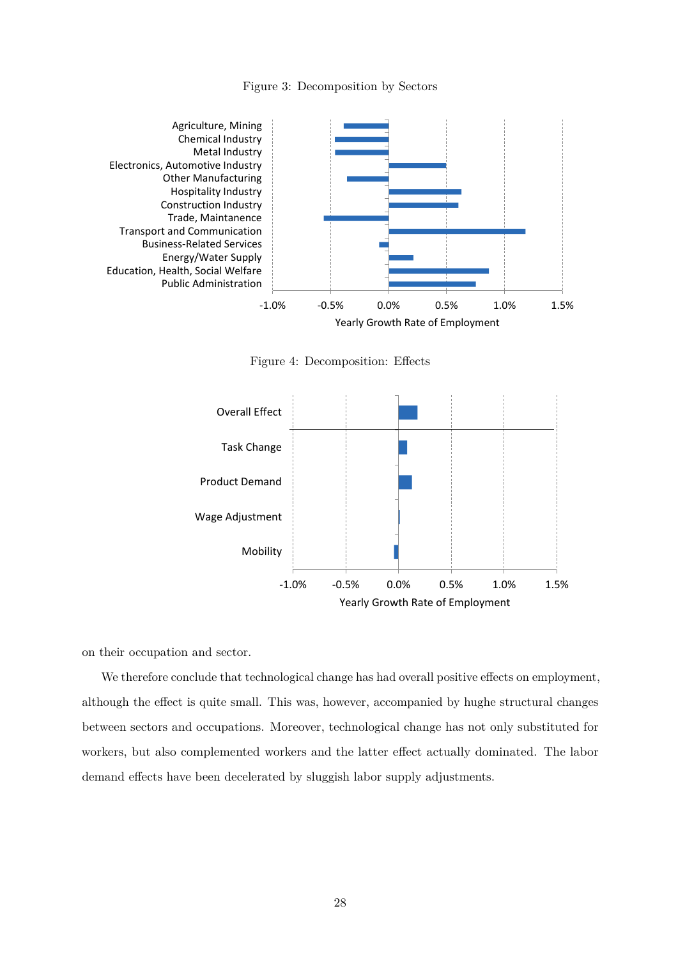<span id="page-28-0"></span>Figure 3: Decomposition by Sectors



<span id="page-28-1"></span>Figure 4: Decomposition: Effects



on their occupation and sector.

We therefore conclude that technological change has had overall positive effects on employment, although the effect is quite small. This was, however, accompanied by hughe structural changes between sectors and occupations. Moreover, technological change has not only substituted for workers, but also complemented workers and the latter effect actually dominated. The labor demand effects have been decelerated by sluggish labor supply adjustments.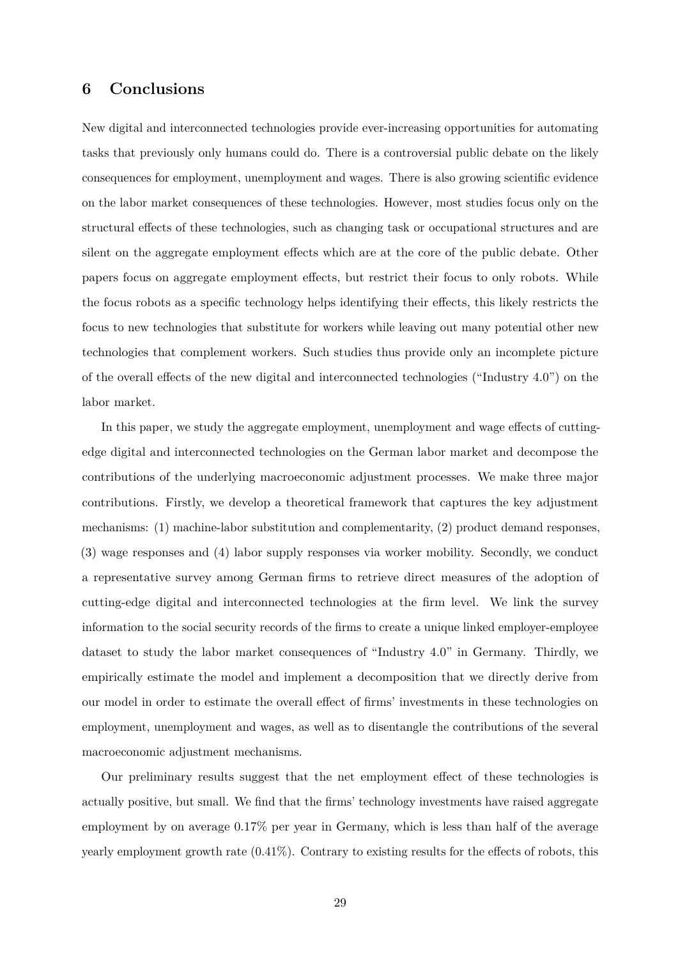# <span id="page-29-0"></span>**6 Conclusions**

New digital and interconnected technologies provide ever-increasing opportunities for automating tasks that previously only humans could do. There is a controversial public debate on the likely consequences for employment, unemployment and wages. There is also growing scientific evidence on the labor market consequences of these technologies. However, most studies focus only on the structural effects of these technologies, such as changing task or occupational structures and are silent on the aggregate employment effects which are at the core of the public debate. Other papers focus on aggregate employment effects, but restrict their focus to only robots. While the focus robots as a specific technology helps identifying their effects, this likely restricts the focus to new technologies that substitute for workers while leaving out many potential other new technologies that complement workers. Such studies thus provide only an incomplete picture of the overall effects of the new digital and interconnected technologies ("Industry 4.0") on the labor market.

In this paper, we study the aggregate employment, unemployment and wage effects of cuttingedge digital and interconnected technologies on the German labor market and decompose the contributions of the underlying macroeconomic adjustment processes. We make three major contributions. Firstly, we develop a theoretical framework that captures the key adjustment mechanisms: (1) machine-labor substitution and complementarity, (2) product demand responses, (3) wage responses and (4) labor supply responses via worker mobility. Secondly, we conduct a representative survey among German firms to retrieve direct measures of the adoption of cutting-edge digital and interconnected technologies at the firm level. We link the survey information to the social security records of the firms to create a unique linked employer-employee dataset to study the labor market consequences of "Industry 4.0" in Germany. Thirdly, we empirically estimate the model and implement a decomposition that we directly derive from our model in order to estimate the overall effect of firms' investments in these technologies on employment, unemployment and wages, as well as to disentangle the contributions of the several macroeconomic adjustment mechanisms.

Our preliminary results suggest that the net employment effect of these technologies is actually positive, but small. We find that the firms' technology investments have raised aggregate employment by on average 0.17% per year in Germany, which is less than half of the average yearly employment growth rate (0.41%). Contrary to existing results for the effects of robots, this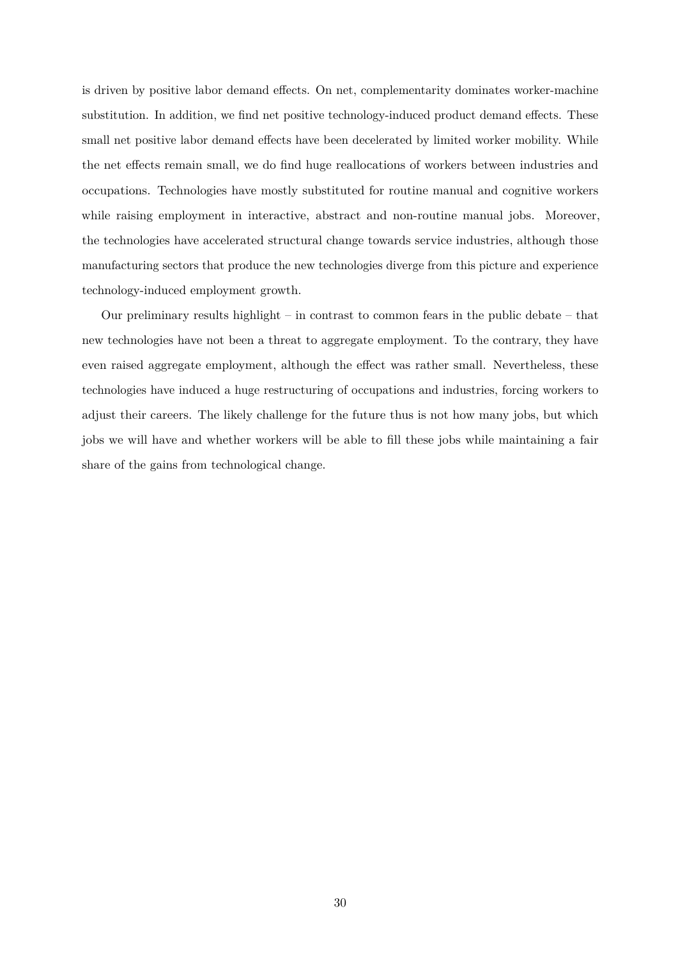is driven by positive labor demand effects. On net, complementarity dominates worker-machine substitution. In addition, we find net positive technology-induced product demand effects. These small net positive labor demand effects have been decelerated by limited worker mobility. While the net effects remain small, we do find huge reallocations of workers between industries and occupations. Technologies have mostly substituted for routine manual and cognitive workers while raising employment in interactive, abstract and non-routine manual jobs. Moreover, the technologies have accelerated structural change towards service industries, although those manufacturing sectors that produce the new technologies diverge from this picture and experience technology-induced employment growth.

Our preliminary results highlight – in contrast to common fears in the public debate – that new technologies have not been a threat to aggregate employment. To the contrary, they have even raised aggregate employment, although the effect was rather small. Nevertheless, these technologies have induced a huge restructuring of occupations and industries, forcing workers to adjust their careers. The likely challenge for the future thus is not how many jobs, but which jobs we will have and whether workers will be able to fill these jobs while maintaining a fair share of the gains from technological change.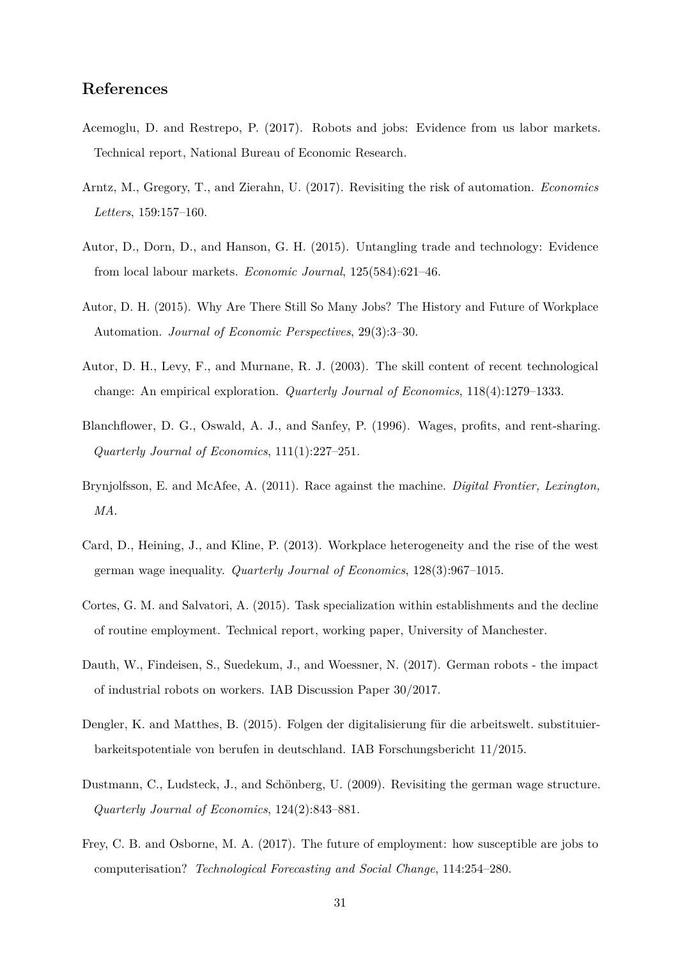# **References**

- <span id="page-31-6"></span>Acemoglu, D. and Restrepo, P. (2017). Robots and jobs: Evidence from us labor markets. Technical report, National Bureau of Economic Research.
- <span id="page-31-3"></span>Arntz, M., Gregory, T., and Zierahn, U. (2017). Revisiting the risk of automation. *Economics Letters*, 159:157–160.
- <span id="page-31-5"></span>Autor, D., Dorn, D., and Hanson, G. H. (2015). Untangling trade and technology: Evidence from local labour markets. *Economic Journal*, 125(584):621–46.
- <span id="page-31-0"></span>Autor, D. H. (2015). Why Are There Still So Many Jobs? The History and Future of Workplace Automation. *Journal of Economic Perspectives*, 29(3):3–30.
- <span id="page-31-8"></span>Autor, D. H., Levy, F., and Murnane, R. J. (2003). The skill content of recent technological change: An empirical exploration. *Quarterly Journal of Economics*, 118(4):1279–1333.
- <span id="page-31-9"></span>Blanchflower, D. G., Oswald, A. J., and Sanfey, P. (1996). Wages, profits, and rent-sharing. *Quarterly Journal of Economics*, 111(1):227–251.
- <span id="page-31-1"></span>Brynjolfsson, E. and McAfee, A. (2011). Race against the machine. *Digital Frontier, Lexington, MA*.
- <span id="page-31-11"></span>Card, D., Heining, J., and Kline, P. (2013). Workplace heterogeneity and the rise of the west german wage inequality. *Quarterly Journal of Economics*, 128(3):967–1015.
- <span id="page-31-4"></span>Cortes, G. M. and Salvatori, A. (2015). Task specialization within establishments and the decline of routine employment. Technical report, working paper, University of Manchester.
- <span id="page-31-7"></span>Dauth, W., Findeisen, S., Suedekum, J., and Woessner, N. (2017). German robots - the impact of industrial robots on workers. IAB Discussion Paper 30/2017.
- <span id="page-31-10"></span>Dengler, K. and Matthes, B. (2015). Folgen der digitalisierung für die arbeitswelt. substituierbarkeitspotentiale von berufen in deutschland. IAB Forschungsbericht 11/2015.
- <span id="page-31-12"></span>Dustmann, C., Ludsteck, J., and Schönberg, U. (2009). Revisiting the german wage structure. *Quarterly Journal of Economics*, 124(2):843–881.
- <span id="page-31-2"></span>Frey, C. B. and Osborne, M. A. (2017). The future of employment: how susceptible are jobs to computerisation? *Technological Forecasting and Social Change*, 114:254–280.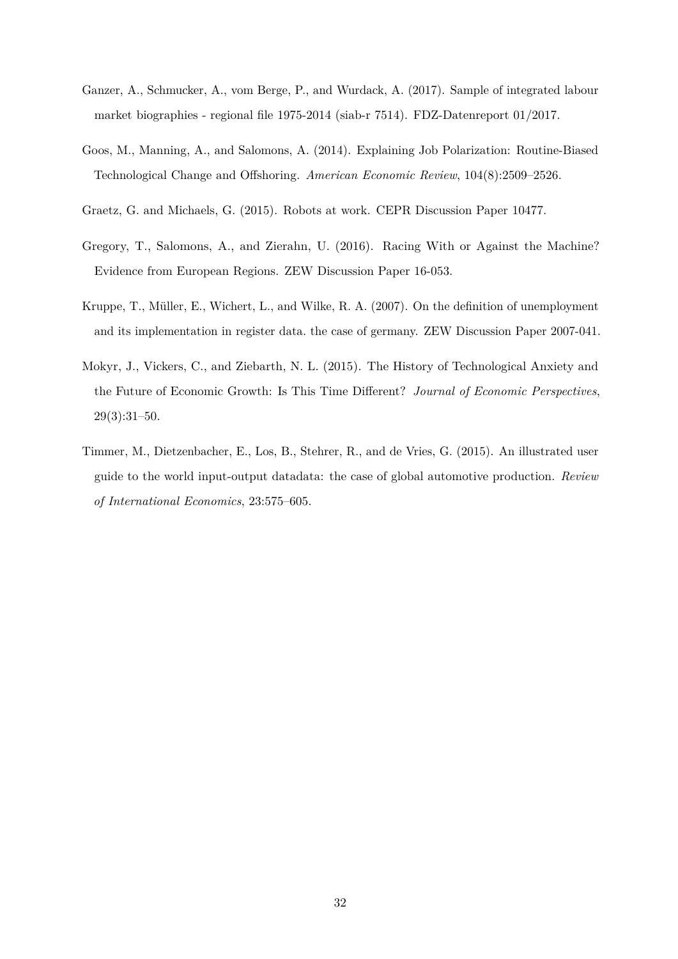- <span id="page-32-4"></span>Ganzer, A., Schmucker, A., vom Berge, P., and Wurdack, A. (2017). Sample of integrated labour market biographies - regional file 1975-2014 (siab-r 7514). FDZ-Datenreport 01/2017.
- <span id="page-32-3"></span>Goos, M., Manning, A., and Salomons, A. (2014). Explaining Job Polarization: Routine-Biased Technological Change and Offshoring. *American Economic Review*, 104(8):2509–2526.
- <span id="page-32-1"></span>Graetz, G. and Michaels, G. (2015). Robots at work. CEPR Discussion Paper 10477.
- <span id="page-32-2"></span>Gregory, T., Salomons, A., and Zierahn, U. (2016). Racing With or Against the Machine? Evidence from European Regions. ZEW Discussion Paper 16-053.
- <span id="page-32-5"></span>Kruppe, T., Müller, E., Wichert, L., and Wilke, R. A. (2007). On the definition of unemployment and its implementation in register data. the case of germany. ZEW Discussion Paper 2007-041.
- <span id="page-32-0"></span>Mokyr, J., Vickers, C., and Ziebarth, N. L. (2015). The History of Technological Anxiety and the Future of Economic Growth: Is This Time Different? *Journal of Economic Perspectives*, 29(3):31–50.
- <span id="page-32-6"></span>Timmer, M., Dietzenbacher, E., Los, B., Stehrer, R., and de Vries, G. (2015). An illustrated user guide to the world input-output datadata: the case of global automotive production. *Review of International Economics*, 23:575–605.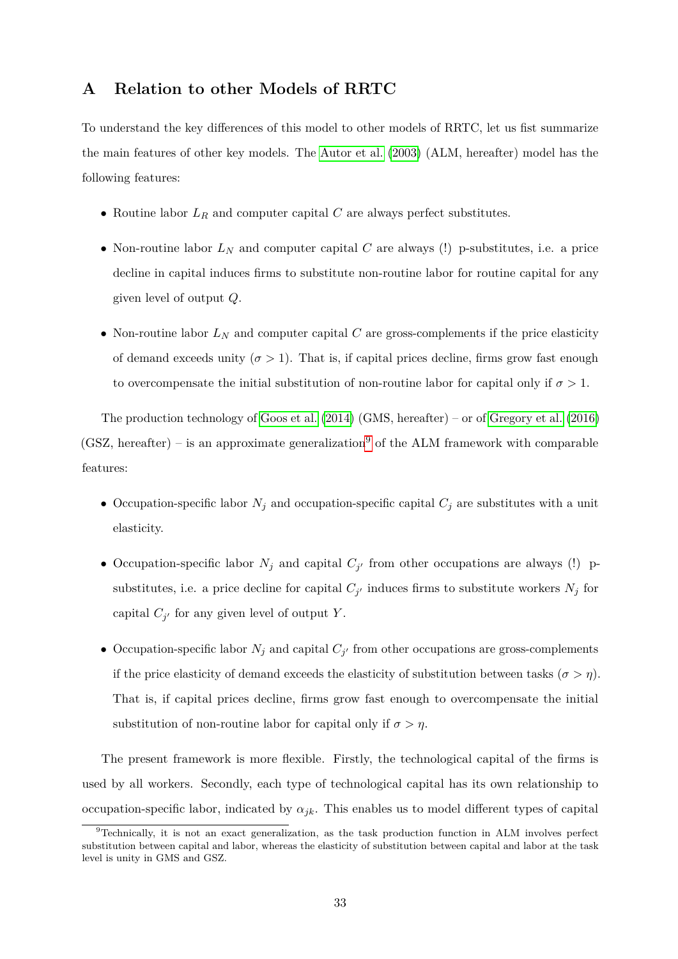# <span id="page-33-0"></span>**A Relation to other Models of RRTC**

To understand the key differences of this model to other models of RRTC, let us fist summarize the main features of other key models. The [Autor et al.](#page-31-8) [\(2003\)](#page-31-8) (ALM, hereafter) model has the following features:

- Routine labor *L<sup>R</sup>* and computer capital *C* are always perfect substitutes.
- Non-routine labor  $L_N$  and computer capital  $C$  are always (!) p-substitutes, i.e. a price decline in capital induces firms to substitute non-routine labor for routine capital for any given level of output *Q*.
- Non-routine labor  $L_N$  and computer capital  $C$  are gross-complements if the price elasticity of demand exceeds unity  $(\sigma > 1)$ . That is, if capital prices decline, firms grow fast enough to overcompensate the initial substitution of non-routine labor for capital only if  $\sigma > 1$ .

The production technology of [Goos et al.](#page-32-3) [\(2014\)](#page-32-3) (GMS, hereafter) – or of [Gregory et al.](#page-32-2) [\(2016\)](#page-32-2) (GSZ, hereafter) – is an approximate generalization<sup>[9](#page-33-1)</sup> of the ALM framework with comparable features:

- Occupation-specific labor  $N_j$  and occupation-specific capital  $C_j$  are substitutes with a unit elasticity.
- Occupation-specific labor  $N_j$  and capital  $C_{j'}$  from other occupations are always (!) psubstitutes, i.e. a price decline for capital  $C_{j'}$  induces firms to substitute workers  $N_j$  for capital  $C_{j'}$  for any given level of output *Y*.
- Occupation-specific labor  $N_j$  and capital  $C_{j'}$  from other occupations are gross-complements if the price elasticity of demand exceeds the elasticity of substitution between tasks  $(\sigma > \eta)$ . That is, if capital prices decline, firms grow fast enough to overcompensate the initial substitution of non-routine labor for capital only if  $\sigma > \eta$ .

The present framework is more flexible. Firstly, the technological capital of the firms is used by all workers. Secondly, each type of technological capital has its own relationship to occupation-specific labor, indicated by  $\alpha_{jk}$ . This enables us to model different types of capital

<span id="page-33-1"></span><sup>9</sup>Technically, it is not an exact generalization, as the task production function in ALM involves perfect substitution between capital and labor, whereas the elasticity of substitution between capital and labor at the task level is unity in GMS and GSZ.